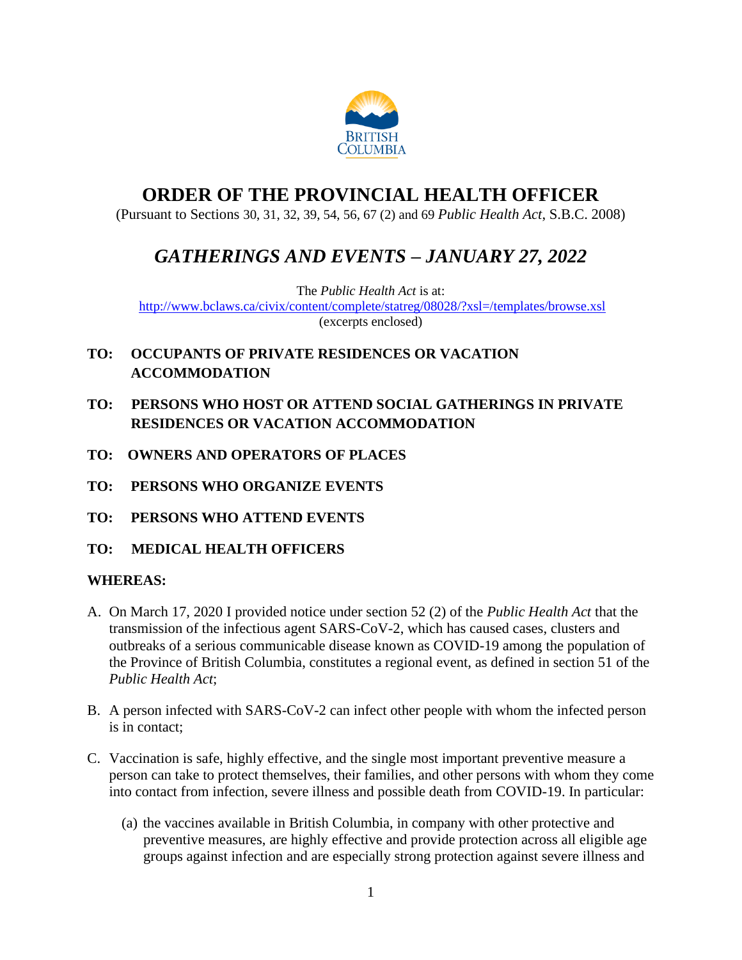

# **ORDER OF THE PROVINCIAL HEALTH OFFICER**

(Pursuant to Sections 30, 31, 32, 39, 54, 56, 67 (2) and 69 *Public Health Act*, S.B.C. 2008)

# *GATHERINGS AND EVENTS – JANUARY 27, 2022*

The *Public Health Act* is at: <http://www.bclaws.ca/civix/content/complete/statreg/08028/?xsl=/templates/browse.xsl> (excerpts enclosed)

- **TO: OCCUPANTS OF PRIVATE RESIDENCES OR VACATION ACCOMMODATION**
- **TO: PERSONS WHO HOST OR ATTEND SOCIAL GATHERINGS IN PRIVATE RESIDENCES OR VACATION ACCOMMODATION**
- **TO: OWNERS AND OPERATORS OF PLACES**
- **TO: PERSONS WHO ORGANIZE EVENTS**
- **TO: PERSONS WHO ATTEND EVENTS**
- **TO: MEDICAL HEALTH OFFICERS**

## **WHEREAS:**

- A. On March 17, 2020 I provided notice under section 52 (2) of the *Public Health Act* that the transmission of the infectious agent SARS-CoV-2, which has caused cases, clusters and outbreaks of a serious communicable disease known as COVID-19 among the population of the Province of British Columbia, constitutes a regional event, as defined in section 51 of the *Public Health Act*;
- B. A person infected with SARS-CoV-2 can infect other people with whom the infected person is in contact;
- C. Vaccination is safe, highly effective, and the single most important preventive measure a person can take to protect themselves, their families, and other persons with whom they come into contact from infection, severe illness and possible death from COVID-19. In particular:
	- (a) the vaccines available in British Columbia, in company with other protective and preventive measures, are highly effective and provide protection across all eligible age groups against infection and are especially strong protection against severe illness and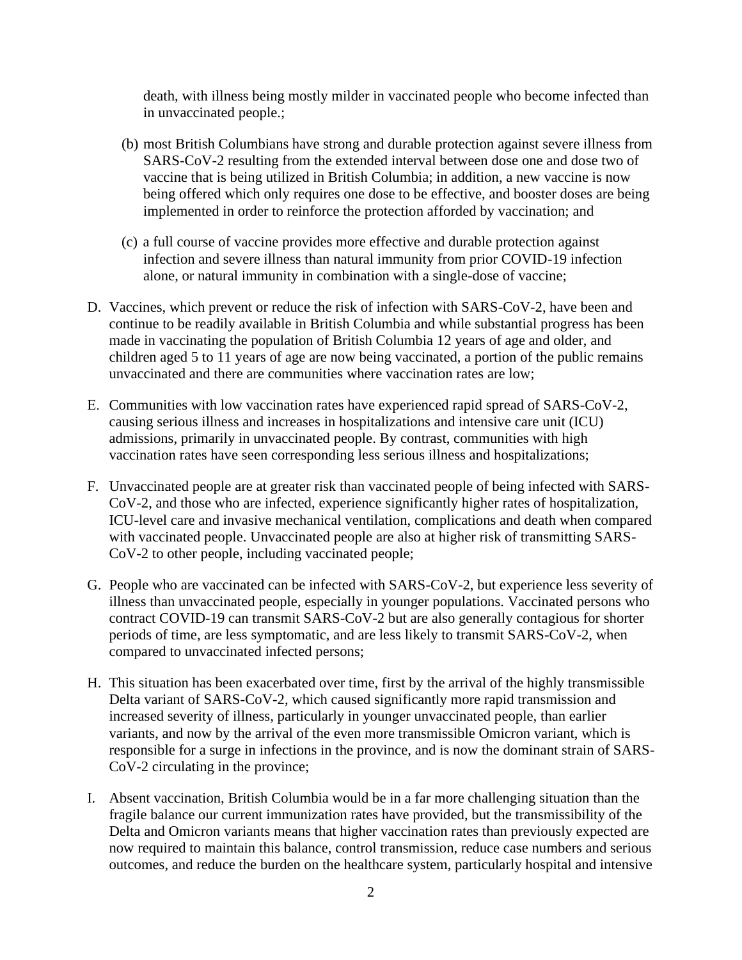death, with illness being mostly milder in vaccinated people who become infected than in unvaccinated people.;

- (b) most British Columbians have strong and durable protection against severe illness from SARS-CoV-2 resulting from the extended interval between dose one and dose two of vaccine that is being utilized in British Columbia; in addition, a new vaccine is now being offered which only requires one dose to be effective, and booster doses are being implemented in order to reinforce the protection afforded by vaccination; and
- (c) a full course of vaccine provides more effective and durable protection against infection and severe illness than natural immunity from prior COVID-19 infection alone, or natural immunity in combination with a single-dose of vaccine;
- D. Vaccines, which prevent or reduce the risk of infection with SARS-CoV-2, have been and continue to be readily available in British Columbia and while substantial progress has been made in vaccinating the population of British Columbia 12 years of age and older, and children aged 5 to 11 years of age are now being vaccinated, a portion of the public remains unvaccinated and there are communities where vaccination rates are low;
- E. Communities with low vaccination rates have experienced rapid spread of SARS-CoV-2, causing serious illness and increases in hospitalizations and intensive care unit (ICU) admissions, primarily in unvaccinated people. By contrast, communities with high vaccination rates have seen corresponding less serious illness and hospitalizations;
- F. Unvaccinated people are at greater risk than vaccinated people of being infected with SARS-CoV-2, and those who are infected, experience significantly higher rates of hospitalization, ICU-level care and invasive mechanical ventilation, complications and death when compared with vaccinated people. Unvaccinated people are also at higher risk of transmitting SARS-CoV-2 to other people, including vaccinated people;
- G. People who are vaccinated can be infected with SARS-CoV-2, but experience less severity of illness than unvaccinated people, especially in younger populations. Vaccinated persons who contract COVID-19 can transmit SARS-CoV-2 but are also generally contagious for shorter periods of time, are less symptomatic, and are less likely to transmit SARS-CoV-2, when compared to unvaccinated infected persons;
- H. This situation has been exacerbated over time, first by the arrival of the highly transmissible Delta variant of SARS-CoV-2, which caused significantly more rapid transmission and increased severity of illness, particularly in younger unvaccinated people, than earlier variants, and now by the arrival of the even more transmissible Omicron variant, which is responsible for a surge in infections in the province, and is now the dominant strain of SARS-CoV-2 circulating in the province;
- I. Absent vaccination, British Columbia would be in a far more challenging situation than the fragile balance our current immunization rates have provided, but the transmissibility of the Delta and Omicron variants means that higher vaccination rates than previously expected are now required to maintain this balance, control transmission, reduce case numbers and serious outcomes, and reduce the burden on the healthcare system, particularly hospital and intensive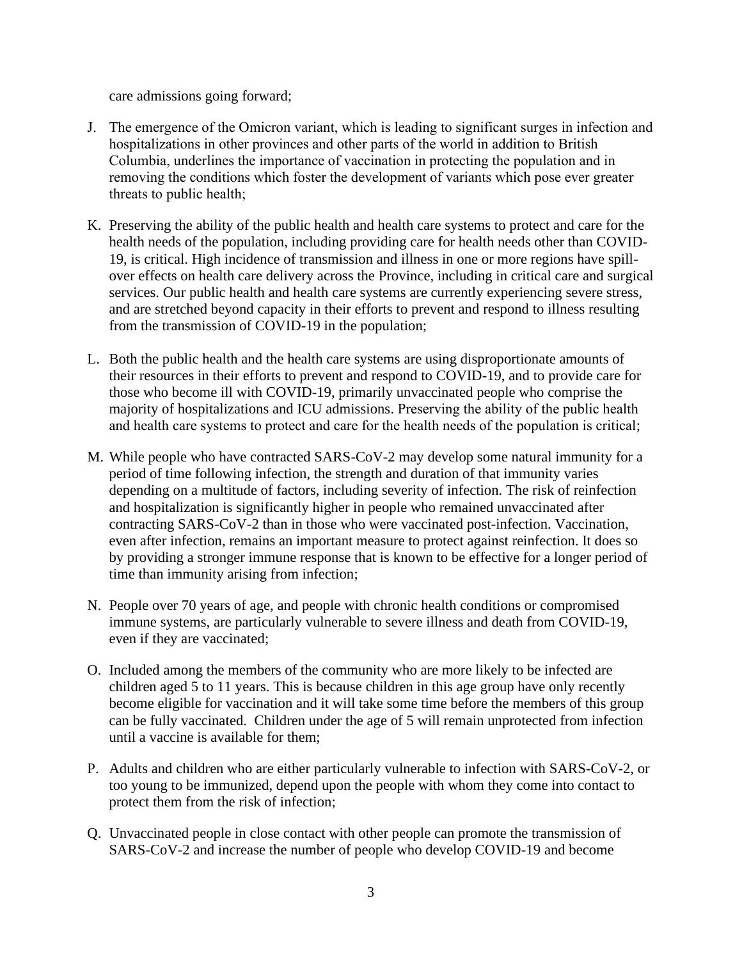care admissions going forward;

- J. The emergence of the Omicron variant, which is leading to significant surges in infection and hospitalizations in other provinces and other parts of the world in addition to British Columbia, underlines the importance of vaccination in protecting the population and in removing the conditions which foster the development of variants which pose ever greater threats to public health;
- K. Preserving the ability of the public health and health care systems to protect and care for the health needs of the population, including providing care for health needs other than COVID-19, is critical. High incidence of transmission and illness in one or more regions have spillover effects on health care delivery across the Province, including in critical care and surgical services. Our public health and health care systems are currently experiencing severe stress, and are stretched beyond capacity in their efforts to prevent and respond to illness resulting from the transmission of COVID-19 in the population;
- L. Both the public health and the health care systems are using disproportionate amounts of their resources in their efforts to prevent and respond to COVID-19, and to provide care for those who become ill with COVID-19, primarily unvaccinated people who comprise the majority of hospitalizations and ICU admissions. Preserving the ability of the public health and health care systems to protect and care for the health needs of the population is critical;
- M. While people who have contracted SARS-CoV-2 may develop some natural immunity for a period of time following infection, the strength and duration of that immunity varies depending on a multitude of factors, including severity of infection. The risk of reinfection and hospitalization is significantly higher in people who remained unvaccinated after contracting SARS-CoV-2 than in those who were vaccinated post-infection. Vaccination, even after infection, remains an important measure to protect against reinfection. It does so by providing a stronger immune response that is known to be effective for a longer period of time than immunity arising from infection;
- N. People over 70 years of age, and people with chronic health conditions or compromised immune systems, are particularly vulnerable to severe illness and death from COVID-19, even if they are vaccinated;
- O. Included among the members of the community who are more likely to be infected are children aged 5 to 11 years. This is because children in this age group have only recently become eligible for vaccination and it will take some time before the members of this group can be fully vaccinated. Children under the age of 5 will remain unprotected from infection until a vaccine is available for them;
- P. Adults and children who are either particularly vulnerable to infection with SARS-CoV-2, or too young to be immunized, depend upon the people with whom they come into contact to protect them from the risk of infection;
- Q. Unvaccinated people in close contact with other people can promote the transmission of SARS-CoV-2 and increase the number of people who develop COVID-19 and become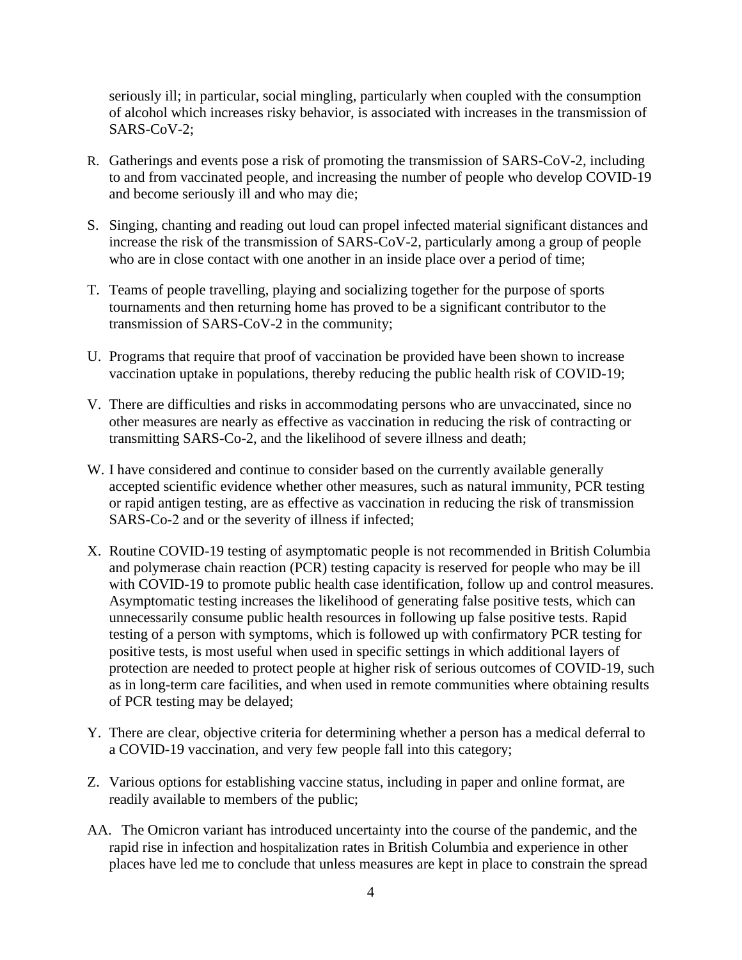seriously ill; in particular, social mingling, particularly when coupled with the consumption of alcohol which increases risky behavior, is associated with increases in the transmission of SARS-CoV-2;

- R. Gatherings and events pose a risk of promoting the transmission of SARS-CoV-2, including to and from vaccinated people, and increasing the number of people who develop COVID-19 and become seriously ill and who may die;
- S. Singing, chanting and reading out loud can propel infected material significant distances and increase the risk of the transmission of SARS-CoV-2, particularly among a group of people who are in close contact with one another in an inside place over a period of time;
- T. Teams of people travelling, playing and socializing together for the purpose of sports tournaments and then returning home has proved to be a significant contributor to the transmission of SARS-CoV-2 in the community;
- U. Programs that require that proof of vaccination be provided have been shown to increase vaccination uptake in populations, thereby reducing the public health risk of COVID-19;
- V. There are difficulties and risks in accommodating persons who are unvaccinated, since no other measures are nearly as effective as vaccination in reducing the risk of contracting or transmitting SARS-Co-2, and the likelihood of severe illness and death;
- W. I have considered and continue to consider based on the currently available generally accepted scientific evidence whether other measures, such as natural immunity, PCR testing or rapid antigen testing, are as effective as vaccination in reducing the risk of transmission SARS-Co-2 and or the severity of illness if infected;
- X. Routine COVID-19 testing of asymptomatic people is not recommended in British Columbia and polymerase chain reaction (PCR) testing capacity is reserved for people who may be ill with COVID-19 to promote public health case identification, follow up and control measures. Asymptomatic testing increases the likelihood of generating false positive tests, which can unnecessarily consume public health resources in following up false positive tests. Rapid testing of a person with symptoms, which is followed up with confirmatory PCR testing for positive tests, is most useful when used in specific settings in which additional layers of protection are needed to protect people at higher risk of serious outcomes of COVID-19, such as in long-term care facilities, and when used in remote communities where obtaining results of PCR testing may be delayed;
- Y. There are clear, objective criteria for determining whether a person has a medical deferral to a COVID-19 vaccination, and very few people fall into this category;
- Z. Various options for establishing vaccine status, including in paper and online format, are readily available to members of the public;
- AA. The Omicron variant has introduced uncertainty into the course of the pandemic, and the rapid rise in infection and hospitalization rates in British Columbia and experience in other places have led me to conclude that unless measures are kept in place to constrain the spread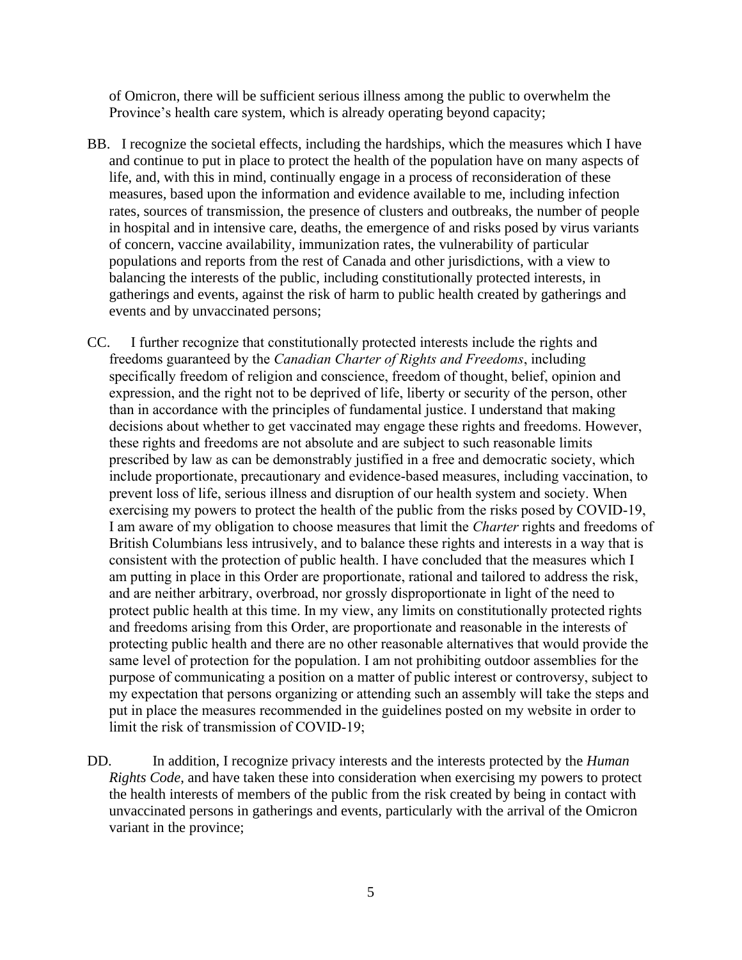of Omicron, there will be sufficient serious illness among the public to overwhelm the Province's health care system, which is already operating beyond capacity;

- BB. I recognize the societal effects, including the hardships, which the measures which I have and continue to put in place to protect the health of the population have on many aspects of life, and, with this in mind, continually engage in a process of reconsideration of these measures, based upon the information and evidence available to me, including infection rates, sources of transmission, the presence of clusters and outbreaks, the number of people in hospital and in intensive care, deaths, the emergence of and risks posed by virus variants of concern, vaccine availability, immunization rates, the vulnerability of particular populations and reports from the rest of Canada and other jurisdictions, with a view to balancing the interests of the public, including constitutionally protected interests, in gatherings and events, against the risk of harm to public health created by gatherings and events and by unvaccinated persons;
- CC. I further recognize that constitutionally protected interests include the rights and freedoms guaranteed by the *Canadian Charter of Rights and Freedoms*, including specifically freedom of religion and conscience, freedom of thought, belief, opinion and expression, and the right not to be deprived of life, liberty or security of the person, other than in accordance with the principles of fundamental justice. I understand that making decisions about whether to get vaccinated may engage these rights and freedoms. However, these rights and freedoms are not absolute and are subject to such reasonable limits prescribed by law as can be demonstrably justified in a free and democratic society, which include proportionate, precautionary and evidence-based measures, including vaccination, to prevent loss of life, serious illness and disruption of our health system and society. When exercising my powers to protect the health of the public from the risks posed by COVID-19, I am aware of my obligation to choose measures that limit the *Charter* rights and freedoms of British Columbians less intrusively, and to balance these rights and interests in a way that is consistent with the protection of public health. I have concluded that the measures which I am putting in place in this Order are proportionate, rational and tailored to address the risk, and are neither arbitrary, overbroad, nor grossly disproportionate in light of the need to protect public health at this time. In my view, any limits on constitutionally protected rights and freedoms arising from this Order, are proportionate and reasonable in the interests of protecting public health and there are no other reasonable alternatives that would provide the same level of protection for the population. I am not prohibiting outdoor assemblies for the purpose of communicating a position on a matter of public interest or controversy, subject to my expectation that persons organizing or attending such an assembly will take the steps and put in place the measures recommended in the guidelines posted on my website in order to limit the risk of transmission of COVID-19;
- DD. In addition, I recognize privacy interests and the interests protected by the *Human Rights Code*, and have taken these into consideration when exercising my powers to protect the health interests of members of the public from the risk created by being in contact with unvaccinated persons in gatherings and events, particularly with the arrival of the Omicron variant in the province;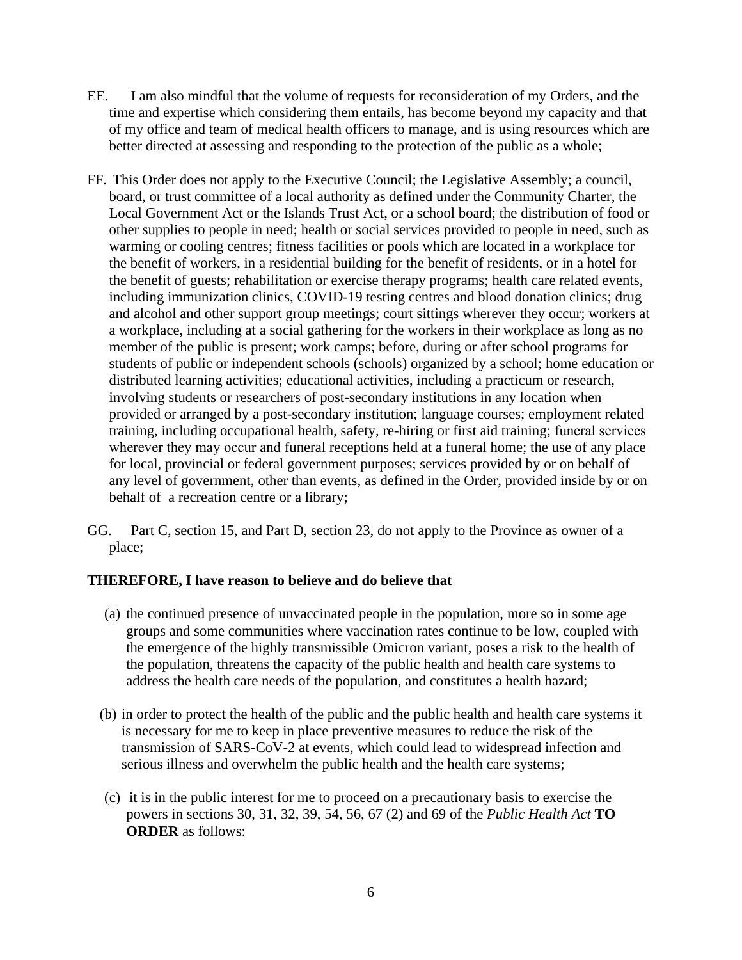- EE. I am also mindful that the volume of requests for reconsideration of my Orders, and the time and expertise which considering them entails, has become beyond my capacity and that of my office and team of medical health officers to manage, and is using resources which are better directed at assessing and responding to the protection of the public as a whole;
- FF. This Order does not apply to the Executive Council; the Legislative Assembly; a council, board, or trust committee of a local authority as defined under the Community Charter, the Local Government Act or the Islands Trust Act, or a school board; the distribution of food or other supplies to people in need; health or social services provided to people in need, such as warming or cooling centres; fitness facilities or pools which are located in a workplace for the benefit of workers, in a residential building for the benefit of residents, or in a hotel for the benefit of guests; rehabilitation or exercise therapy programs; health care related events, including immunization clinics, COVID-19 testing centres and blood donation clinics; drug and alcohol and other support group meetings; court sittings wherever they occur; workers at a workplace, including at a social gathering for the workers in their workplace as long as no member of the public is present; work camps; before, during or after school programs for students of public or independent schools (schools) organized by a school; home education or distributed learning activities; educational activities, including a practicum or research, involving students or researchers of post-secondary institutions in any location when provided or arranged by a post-secondary institution; language courses; employment related training, including occupational health, safety, re-hiring or first aid training; funeral services wherever they may occur and funeral receptions held at a funeral home; the use of any place for local, provincial or federal government purposes; services provided by or on behalf of any level of government, other than events, as defined in the Order, provided inside by or on behalf of a recreation centre or a library;
- GG. Part C, section 15, and Part D, section 23, do not apply to the Province as owner of a place;

## **THEREFORE, I have reason to believe and do believe that**

- (a) the continued presence of unvaccinated people in the population, more so in some age groups and some communities where vaccination rates continue to be low, coupled with the emergence of the highly transmissible Omicron variant, poses a risk to the health of the population, threatens the capacity of the public health and health care systems to address the health care needs of the population, and constitutes a health hazard;
- (b) in order to protect the health of the public and the public health and health care systems it is necessary for me to keep in place preventive measures to reduce the risk of the transmission of SARS-CoV-2 at events, which could lead to widespread infection and serious illness and overwhelm the public health and the health care systems;
- (c) it is in the public interest for me to proceed on a precautionary basis to exercise the powers in sections 30, 31, 32, 39, 54, 56, 67 (2) and 69 of the *Public Health Act* **TO ORDER** as follows: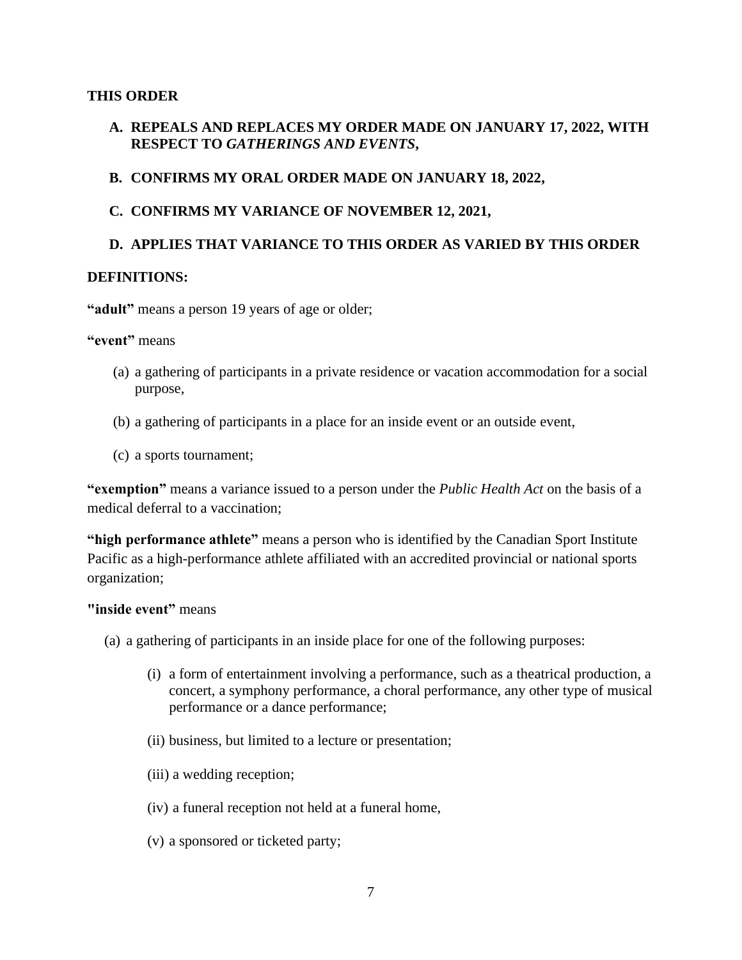#### **THIS ORDER**

- **A. REPEALS AND REPLACES MY ORDER MADE ON JANUARY 17, 2022, WITH RESPECT TO** *GATHERINGS AND EVENTS***,**
- **B. CONFIRMS MY ORAL ORDER MADE ON JANUARY 18, 2022,**
- **C. CONFIRMS MY VARIANCE OF NOVEMBER 12, 2021,**

### **D. APPLIES THAT VARIANCE TO THIS ORDER AS VARIED BY THIS ORDER**

#### **DEFINITIONS:**

"adult" means a person 19 years of age or older;

**"event"** means

- (a) a gathering of participants in a private residence or vacation accommodation for a social purpose,
- (b) a gathering of participants in a place for an inside event or an outside event,
- (c) a sports tournament;

**"exemption"** means a variance issued to a person under the *Public Health Act* on the basis of a medical deferral to a vaccination;

**"high performance athlete"** means a person who is identified by the Canadian Sport Institute Pacific as a high-performance athlete affiliated with an accredited provincial or national sports organization;

#### **"inside event"** means

- (a) a gathering of participants in an inside place for one of the following purposes:
	- (i) a form of entertainment involving a performance, such as a theatrical production, a concert, a symphony performance, a choral performance, any other type of musical performance or a dance performance;
	- (ii) business, but limited to a lecture or presentation;
	- (iii) a wedding reception;
	- (iv) a funeral reception not held at a funeral home,
	- (v) a sponsored or ticketed party;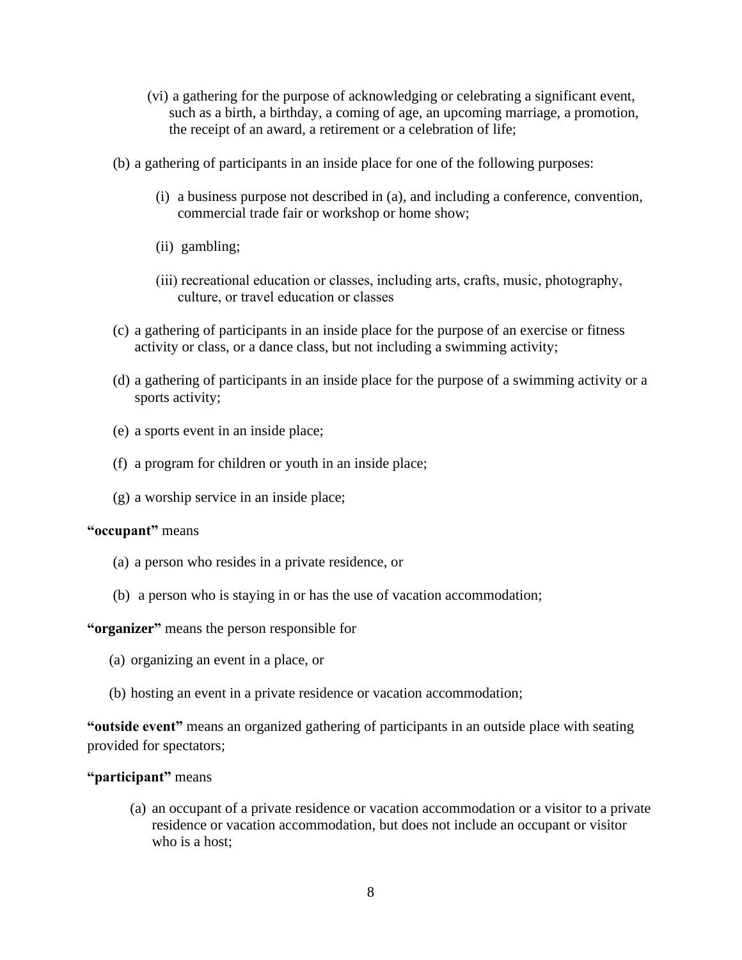- (vi) a gathering for the purpose of acknowledging or celebrating a significant event, such as a birth, a birthday, a coming of age, an upcoming marriage, a promotion, the receipt of an award, a retirement or a celebration of life;
- (b) a gathering of participants in an inside place for one of the following purposes:
	- (i) a business purpose not described in (a), and including a conference, convention, commercial trade fair or workshop or home show;
	- (ii) gambling;
	- (iii) recreational education or classes, including arts, crafts, music, photography, culture, or travel education or classes
- (c) a gathering of participants in an inside place for the purpose of an exercise or fitness activity or class, or a dance class, but not including a swimming activity;
- (d) a gathering of participants in an inside place for the purpose of a swimming activity or a sports activity;
- (e) a sports event in an inside place;
- (f) a program for children or youth in an inside place;
- (g) a worship service in an inside place;

#### **"occupant"** means

- (a) a person who resides in a private residence, or
- (b) a person who is staying in or has the use of vacation accommodation;

#### **"organizer"** means the person responsible for

- (a) organizing an event in a place, or
- (b) hosting an event in a private residence or vacation accommodation;

**"outside event"** means an organized gathering of participants in an outside place with seating provided for spectators;

#### **"participant"** means

(a) an occupant of a private residence or vacation accommodation or a visitor to a private residence or vacation accommodation, but does not include an occupant or visitor who is a host;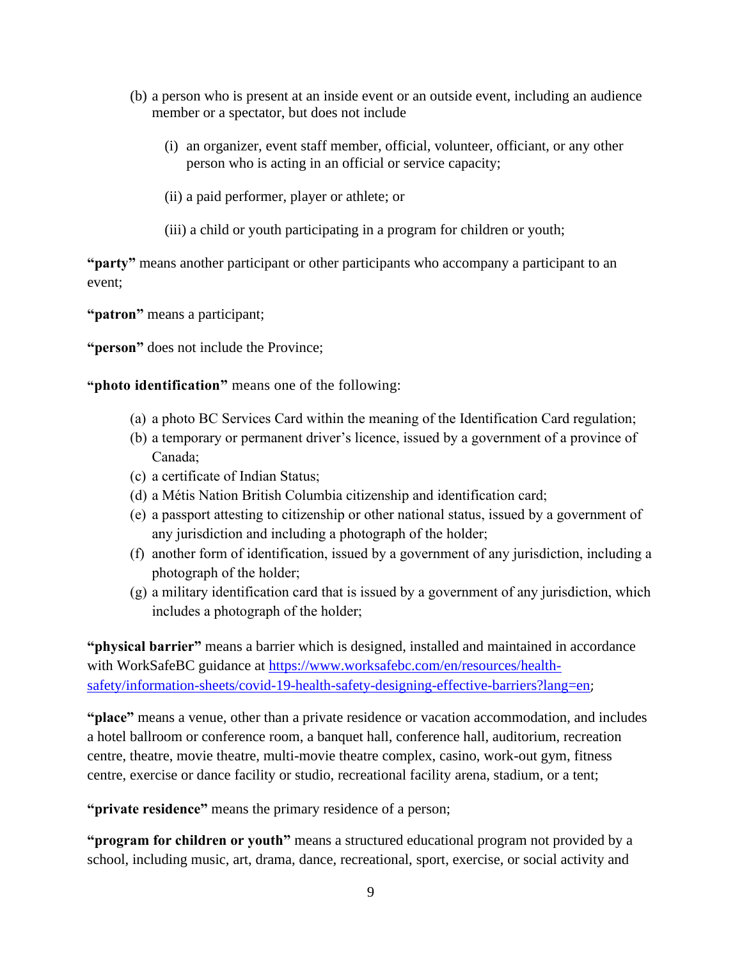- (b) a person who is present at an inside event or an outside event, including an audience member or a spectator, but does not include
	- (i) an organizer, event staff member, official, volunteer, officiant, or any other person who is acting in an official or service capacity;
	- (ii) a paid performer, player or athlete; or
	- (iii) a child or youth participating in a program for children or youth;

**"party"** means another participant or other participants who accompany a participant to an event;

**"patron"** means a participant;

**"person"** does not include the Province;

**"photo identification"** means one of the following:

- (a) a photo BC Services Card within the meaning of the Identification Card regulation;
- (b) a temporary or permanent driver's licence, issued by a government of a province of Canada;
- (c) a certificate of Indian Status;
- (d) a Métis Nation British Columbia citizenship and identification card;
- (e) a passport attesting to citizenship or other national status, issued by a government of any jurisdiction and including a photograph of the holder;
- (f) another form of identification, issued by a government of any jurisdiction, including a photograph of the holder;
- (g) a military identification card that is issued by a government of any jurisdiction, which includes a photograph of the holder;

**"physical barrier"** means a barrier which is designed, installed and maintained in accordance with WorkSafeBC guidance at [https://www.worksafebc.com/en/resources/health](https://www.worksafebc.com/en/resources/health-safety/information-sheets/covid-19-health-safety-designing-effective-barriers?lang=en)[safety/information-sheets/covid-19-health-safety-designing-effective-barriers?lang=en](https://www.worksafebc.com/en/resources/health-safety/information-sheets/covid-19-health-safety-designing-effective-barriers?lang=en);

**"place"** means a venue, other than a private residence or vacation accommodation, and includes a hotel ballroom or conference room, a banquet hall, conference hall, auditorium, recreation centre, theatre, movie theatre, multi-movie theatre complex, casino, work-out gym, fitness centre, exercise or dance facility or studio, recreational facility arena, stadium, or a tent;

**"private residence"** means the primary residence of a person;

**"program for children or youth"** means a structured educational program not provided by a school, including music, art, drama, dance, recreational, sport, exercise, or social activity and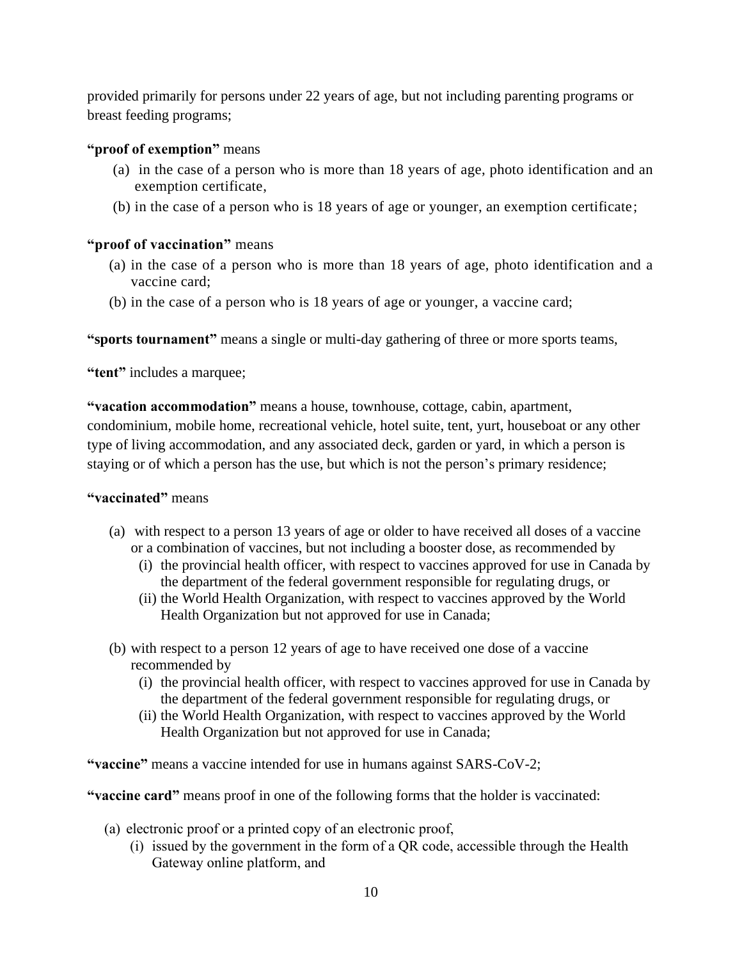provided primarily for persons under 22 years of age, but not including parenting programs or breast feeding programs;

## **"proof of exemption"** means

- (a) in the case of a person who is more than 18 years of age, photo identification and an exemption certificate,
- (b) in the case of a person who is 18 years of age or younger, an exemption certificate;

# **"proof of vaccination"** means

- (a) in the case of a person who is more than 18 years of age, photo identification and a vaccine card;
- (b) in the case of a person who is 18 years of age or younger, a vaccine card;

**"sports tournament"** means a single or multi-day gathering of three or more sports teams,

**"tent"** includes a marquee;

**"vacation accommodation"** means a house, townhouse, cottage, cabin, apartment, condominium, mobile home, recreational vehicle, hotel suite, tent, yurt, houseboat or any other type of living accommodation, and any associated deck, garden or yard, in which a person is staying or of which a person has the use, but which is not the person's primary residence;

## **"vaccinated"** means

- (a) with respect to a person 13 years of age or older to have received all doses of a vaccine or a combination of vaccines, but not including a booster dose, as recommended by
	- (i) the provincial health officer, with respect to vaccines approved for use in Canada by the department of the federal government responsible for regulating drugs, or
	- (ii) the World Health Organization, with respect to vaccines approved by the World Health Organization but not approved for use in Canada;
- (b) with respect to a person 12 years of age to have received one dose of a vaccine recommended by
	- (i) the provincial health officer, with respect to vaccines approved for use in Canada by the department of the federal government responsible for regulating drugs, or
	- (ii) the World Health Organization, with respect to vaccines approved by the World Health Organization but not approved for use in Canada;

**"vaccine"** means a vaccine intended for use in humans against SARS-CoV-2;

**"vaccine card"** means proof in one of the following forms that the holder is vaccinated:

- (a) electronic proof or a printed copy of an electronic proof,
	- (i) issued by the government in the form of a QR code, accessible through the Health Gateway online platform, and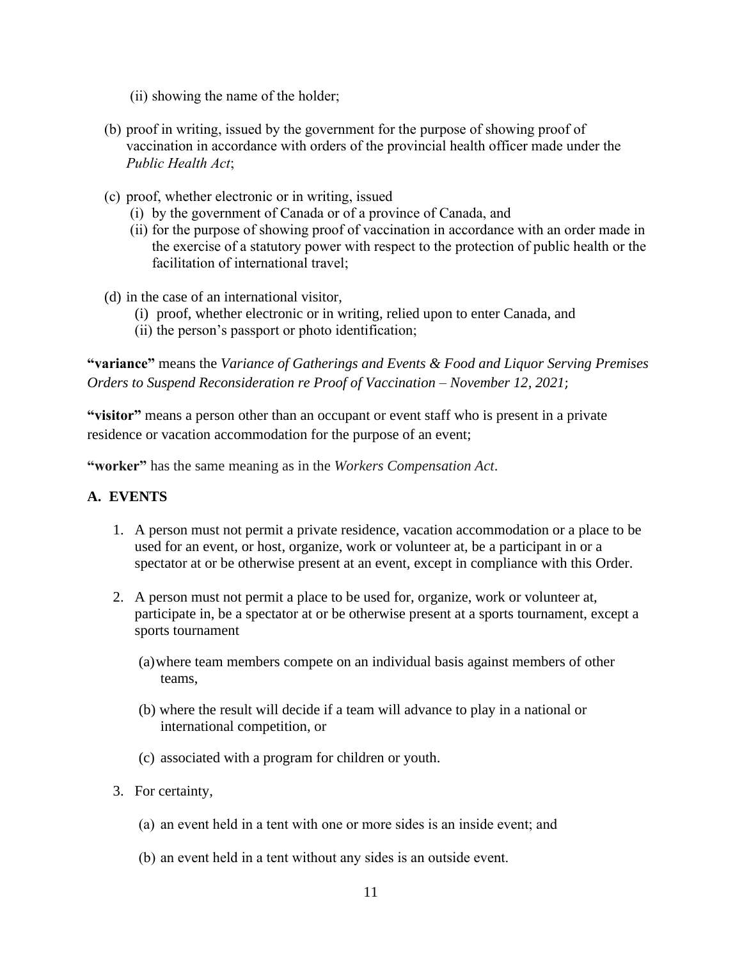- (ii) showing the name of the holder;
- (b) proof in writing, issued by the government for the purpose of showing proof of vaccination in accordance with orders of the provincial health officer made under the *Public Health Act*;
- (c) proof, whether electronic or in writing, issued
	- (i) by the government of Canada or of a province of Canada, and
	- (ii) for the purpose of showing proof of vaccination in accordance with an order made in the exercise of a statutory power with respect to the protection of public health or the facilitation of international travel;
- (d) in the case of an international visitor,
	- (i) proof, whether electronic or in writing, relied upon to enter Canada, and
	- (ii) the person's passport or photo identification;

**"variance"** means the *Variance of Gatherings and Events & Food and Liquor Serving Premises Orders to Suspend Reconsideration re Proof of Vaccination – November 12, 2021*;

**"visitor"** means a person other than an occupant or event staff who is present in a private residence or vacation accommodation for the purpose of an event;

**"worker"** has the same meaning as in the *Workers Compensation Act*.

## **A. EVENTS**

- 1. A person must not permit a private residence, vacation accommodation or a place to be used for an event, or host, organize, work or volunteer at, be a participant in or a spectator at or be otherwise present at an event, except in compliance with this Order.
- 2. A person must not permit a place to be used for, organize, work or volunteer at, participate in, be a spectator at or be otherwise present at a sports tournament, except a sports tournament
	- (a)where team members compete on an individual basis against members of other teams,
	- (b) where the result will decide if a team will advance to play in a national or international competition, or
	- (c) associated with a program for children or youth.
- 3. For certainty,
	- (a) an event held in a tent with one or more sides is an inside event; and
	- (b) an event held in a tent without any sides is an outside event.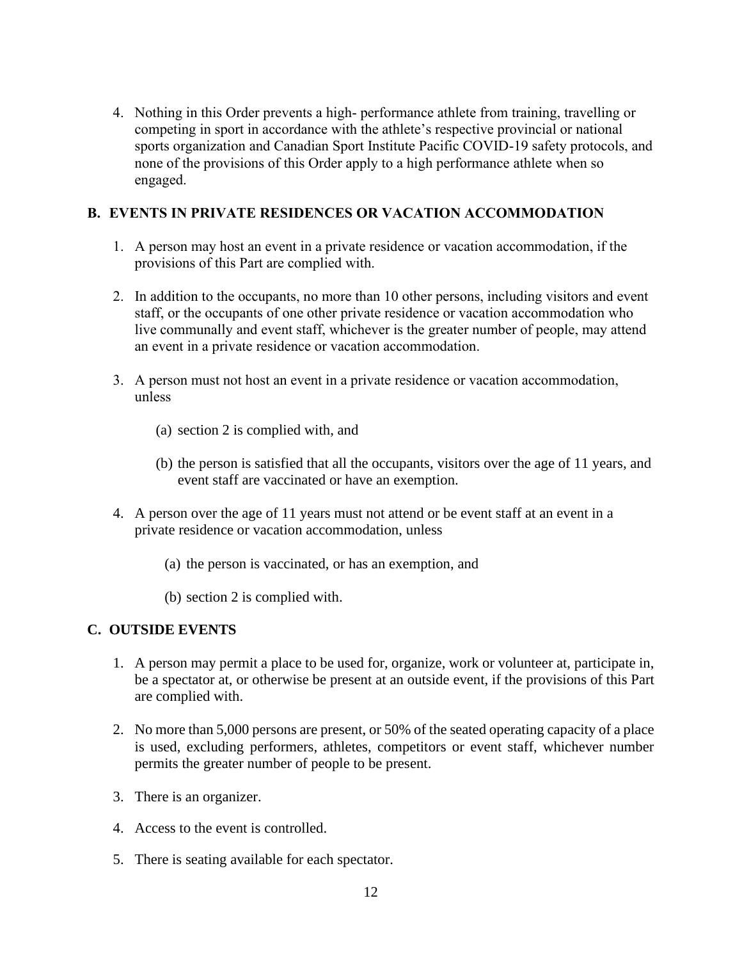4. Nothing in this Order prevents a high- performance athlete from training, travelling or competing in sport in accordance with the athlete's respective provincial or national sports organization and Canadian Sport Institute Pacific COVID-19 safety protocols, and none of the provisions of this Order apply to a high performance athlete when so engaged.

# **B. EVENTS IN PRIVATE RESIDENCES OR VACATION ACCOMMODATION**

- 1. A person may host an event in a private residence or vacation accommodation, if the provisions of this Part are complied with.
- 2. In addition to the occupants, no more than 10 other persons, including visitors and event staff, or the occupants of one other private residence or vacation accommodation who live communally and event staff, whichever is the greater number of people, may attend an event in a private residence or vacation accommodation.
- 3. A person must not host an event in a private residence or vacation accommodation, unless
	- (a) section 2 is complied with, and
	- (b) the person is satisfied that all the occupants, visitors over the age of 11 years, and event staff are vaccinated or have an exemption.
- 4. A person over the age of 11 years must not attend or be event staff at an event in a private residence or vacation accommodation, unless
	- (a) the person is vaccinated, or has an exemption, and
	- (b) section 2 is complied with.

# **C. OUTSIDE EVENTS**

- 1. A person may permit a place to be used for, organize, work or volunteer at, participate in, be a spectator at, or otherwise be present at an outside event, if the provisions of this Part are complied with.
- 2. No more than 5,000 persons are present, or 50% of the seated operating capacity of a place is used, excluding performers, athletes, competitors or event staff, whichever number permits the greater number of people to be present.
- 3. There is an organizer.
- 4. Access to the event is controlled.
- 5. There is seating available for each spectator.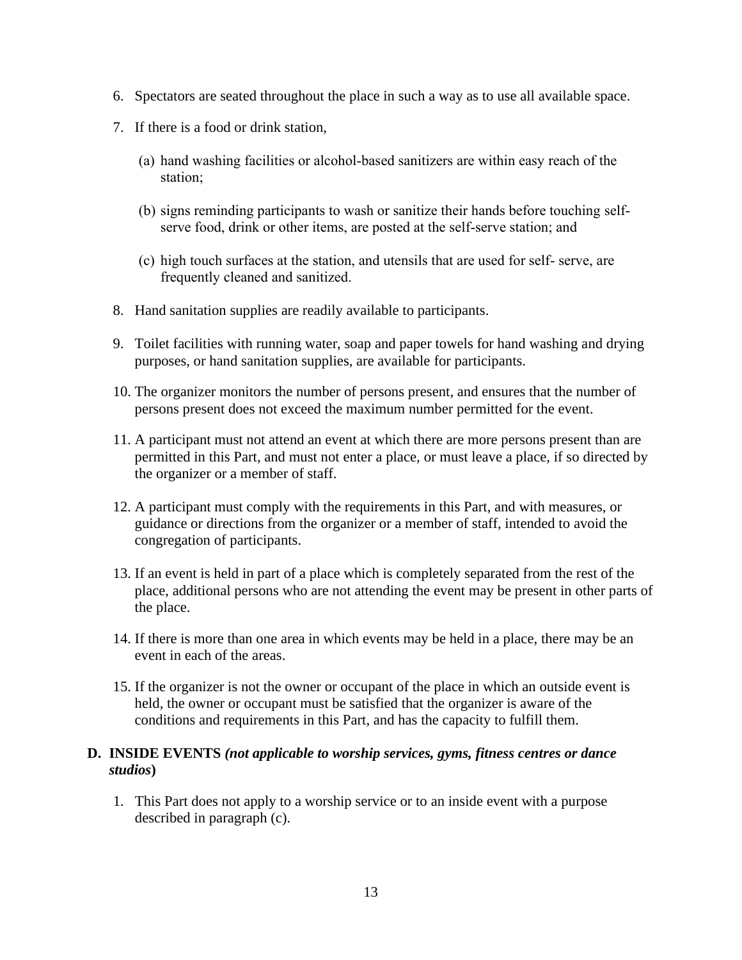- 6. Spectators are seated throughout the place in such a way as to use all available space.
- 7. If there is a food or drink station,
	- (a) hand washing facilities or alcohol-based sanitizers are within easy reach of the station;
	- (b) signs reminding participants to wash or sanitize their hands before touching selfserve food, drink or other items, are posted at the self-serve station; and
	- (c) high touch surfaces at the station, and utensils that are used for self- serve, are frequently cleaned and sanitized.
- 8. Hand sanitation supplies are readily available to participants.
- 9. Toilet facilities with running water, soap and paper towels for hand washing and drying purposes, or hand sanitation supplies, are available for participants.
- 10. The organizer monitors the number of persons present, and ensures that the number of persons present does not exceed the maximum number permitted for the event.
- 11. A participant must not attend an event at which there are more persons present than are permitted in this Part, and must not enter a place, or must leave a place, if so directed by the organizer or a member of staff.
- 12. A participant must comply with the requirements in this Part, and with measures, or guidance or directions from the organizer or a member of staff, intended to avoid the congregation of participants.
- 13. If an event is held in part of a place which is completely separated from the rest of the place, additional persons who are not attending the event may be present in other parts of the place.
- 14. If there is more than one area in which events may be held in a place, there may be an event in each of the areas.
- 15. If the organizer is not the owner or occupant of the place in which an outside event is held, the owner or occupant must be satisfied that the organizer is aware of the conditions and requirements in this Part, and has the capacity to fulfill them.

#### **D. INSIDE EVENTS** *(not applicable to worship services, gyms, fitness centres or dance studios***)**

1. This Part does not apply to a worship service or to an inside event with a purpose described in paragraph (c).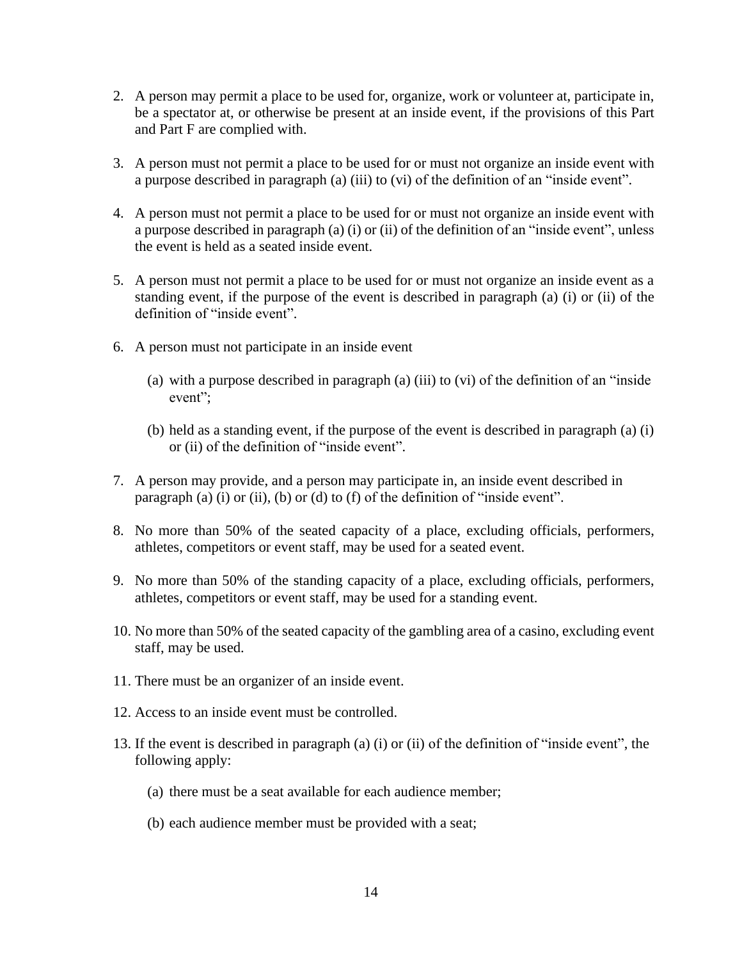- 2. A person may permit a place to be used for, organize, work or volunteer at, participate in, be a spectator at, or otherwise be present at an inside event, if the provisions of this Part and Part F are complied with.
- 3. A person must not permit a place to be used for or must not organize an inside event with a purpose described in paragraph (a) (iii) to (vi) of the definition of an "inside event".
- 4. A person must not permit a place to be used for or must not organize an inside event with a purpose described in paragraph (a) (i) or (ii) of the definition of an "inside event", unless the event is held as a seated inside event.
- 5. A person must not permit a place to be used for or must not organize an inside event as a standing event, if the purpose of the event is described in paragraph (a) (i) or (ii) of the definition of "inside event".
- 6. A person must not participate in an inside event
	- (a) with a purpose described in paragraph (a) (iii) to (vi) of the definition of an "inside event";
	- (b) held as a standing event, if the purpose of the event is described in paragraph (a) (i) or (ii) of the definition of "inside event".
- 7. A person may provide, and a person may participate in, an inside event described in paragraph (a) (i) or (ii), (b) or (d) to (f) of the definition of "inside event".
- 8. No more than 50% of the seated capacity of a place, excluding officials, performers, athletes, competitors or event staff, may be used for a seated event.
- 9. No more than 50% of the standing capacity of a place, excluding officials, performers, athletes, competitors or event staff, may be used for a standing event.
- 10. No more than 50% of the seated capacity of the gambling area of a casino, excluding event staff, may be used.
- 11. There must be an organizer of an inside event.
- 12. Access to an inside event must be controlled.
- 13. If the event is described in paragraph (a) (i) or (ii) of the definition of "inside event", the following apply:
	- (a) there must be a seat available for each audience member;
	- (b) each audience member must be provided with a seat;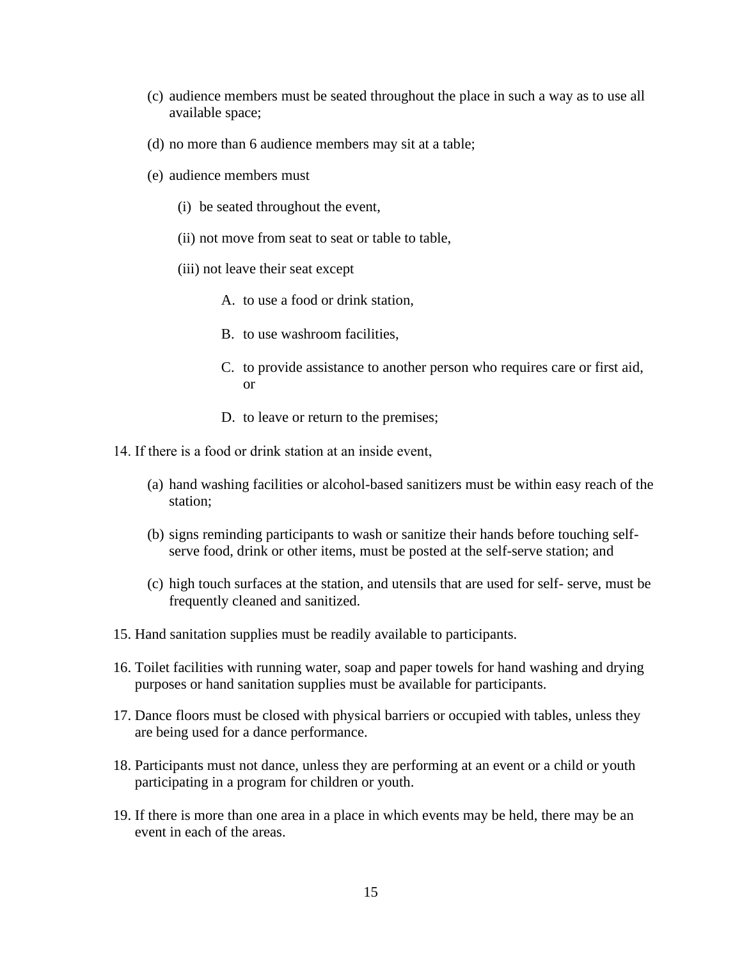- (c) audience members must be seated throughout the place in such a way as to use all available space;
- (d) no more than 6 audience members may sit at a table;
- (e) audience members must
	- (i) be seated throughout the event,
	- (ii) not move from seat to seat or table to table,
	- (iii) not leave their seat except
		- A. to use a food or drink station,
		- B. to use washroom facilities,
		- C. to provide assistance to another person who requires care or first aid, or
		- D. to leave or return to the premises;
- 14. If there is a food or drink station at an inside event,
	- (a) hand washing facilities or alcohol-based sanitizers must be within easy reach of the station;
	- (b) signs reminding participants to wash or sanitize their hands before touching selfserve food, drink or other items, must be posted at the self-serve station; and
	- (c) high touch surfaces at the station, and utensils that are used for self- serve, must be frequently cleaned and sanitized.
- 15. Hand sanitation supplies must be readily available to participants.
- 16. Toilet facilities with running water, soap and paper towels for hand washing and drying purposes or hand sanitation supplies must be available for participants.
- 17. Dance floors must be closed with physical barriers or occupied with tables, unless they are being used for a dance performance.
- 18. Participants must not dance, unless they are performing at an event or a child or youth participating in a program for children or youth.
- 19. If there is more than one area in a place in which events may be held, there may be an event in each of the areas.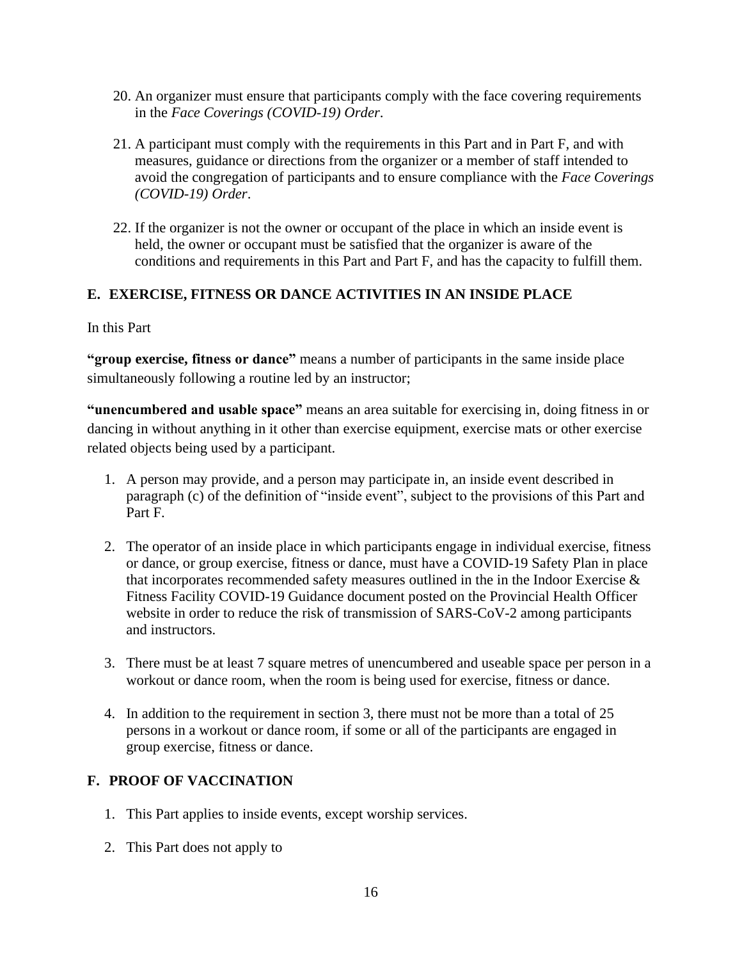- 20. An organizer must ensure that participants comply with the face covering requirements in the *Face Coverings (COVID-19) Order*.
- 21. A participant must comply with the requirements in this Part and in Part F, and with measures, guidance or directions from the organizer or a member of staff intended to avoid the congregation of participants and to ensure compliance with the *Face Coverings (COVID-19) Order*.
- 22. If the organizer is not the owner or occupant of the place in which an inside event is held, the owner or occupant must be satisfied that the organizer is aware of the conditions and requirements in this Part and Part F, and has the capacity to fulfill them.

# **E. EXERCISE, FITNESS OR DANCE ACTIVITIES IN AN INSIDE PLACE**

#### In this Part

**"group exercise, fitness or dance"** means a number of participants in the same inside place simultaneously following a routine led by an instructor;

**"unencumbered and usable space"** means an area suitable for exercising in, doing fitness in or dancing in without anything in it other than exercise equipment, exercise mats or other exercise related objects being used by a participant.

- 1. A person may provide, and a person may participate in, an inside event described in paragraph (c) of the definition of "inside event", subject to the provisions of this Part and Part F.
- 2. The operator of an inside place in which participants engage in individual exercise, fitness or dance, or group exercise, fitness or dance, must have a COVID-19 Safety Plan in place that incorporates recommended safety measures outlined in the in the Indoor Exercise  $\&$ Fitness Facility COVID-19 Guidance document posted on the Provincial Health Officer website in order to reduce the risk of transmission of SARS-CoV-2 among participants and instructors.
- 3. There must be at least 7 square metres of unencumbered and useable space per person in a workout or dance room, when the room is being used for exercise, fitness or dance.
- 4. In addition to the requirement in section 3, there must not be more than a total of 25 persons in a workout or dance room, if some or all of the participants are engaged in group exercise, fitness or dance.

## **F. PROOF OF VACCINATION**

- 1. This Part applies to inside events, except worship services.
- 2. This Part does not apply to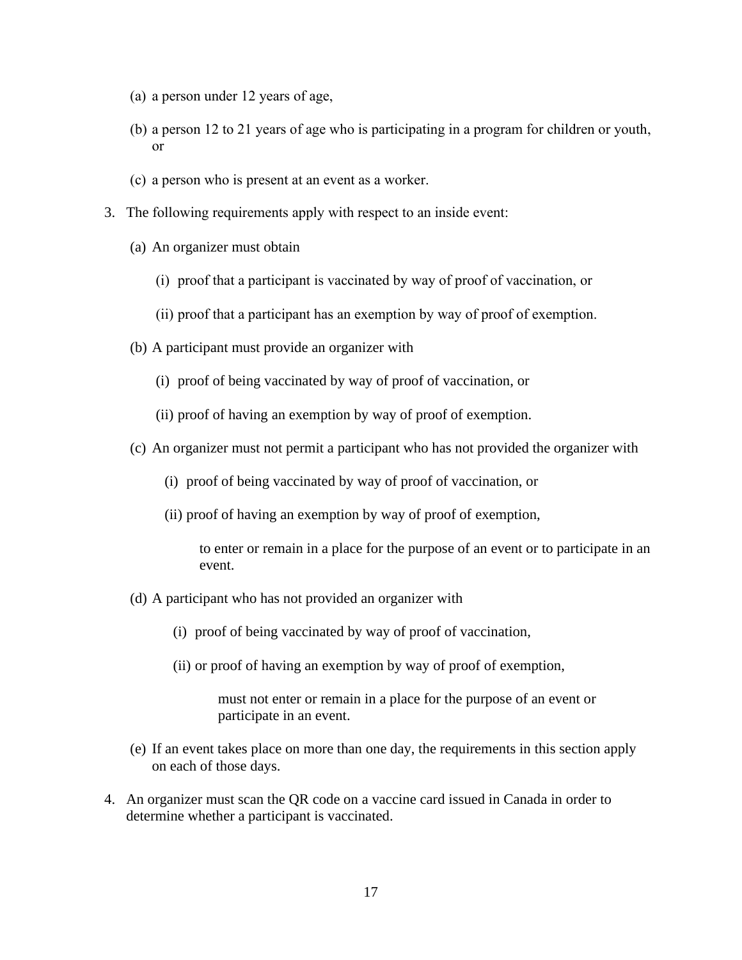- (a) a person under 12 years of age,
- (b) a person 12 to 21 years of age who is participating in a program for children or youth, or
- (c) a person who is present at an event as a worker.
- 3. The following requirements apply with respect to an inside event:
	- (a) An organizer must obtain
		- (i) proof that a participant is vaccinated by way of proof of vaccination, or
		- (ii) proof that a participant has an exemption by way of proof of exemption.
	- (b) A participant must provide an organizer with
		- (i) proof of being vaccinated by way of proof of vaccination, or
		- (ii) proof of having an exemption by way of proof of exemption.
	- (c) An organizer must not permit a participant who has not provided the organizer with
		- (i) proof of being vaccinated by way of proof of vaccination, or
		- (ii) proof of having an exemption by way of proof of exemption,

to enter or remain in a place for the purpose of an event or to participate in an event.

- (d) A participant who has not provided an organizer with
	- (i) proof of being vaccinated by way of proof of vaccination,
	- (ii) or proof of having an exemption by way of proof of exemption,

must not enter or remain in a place for the purpose of an event or participate in an event.

- (e) If an event takes place on more than one day, the requirements in this section apply on each of those days.
- 4. An organizer must scan the QR code on a vaccine card issued in Canada in order to determine whether a participant is vaccinated.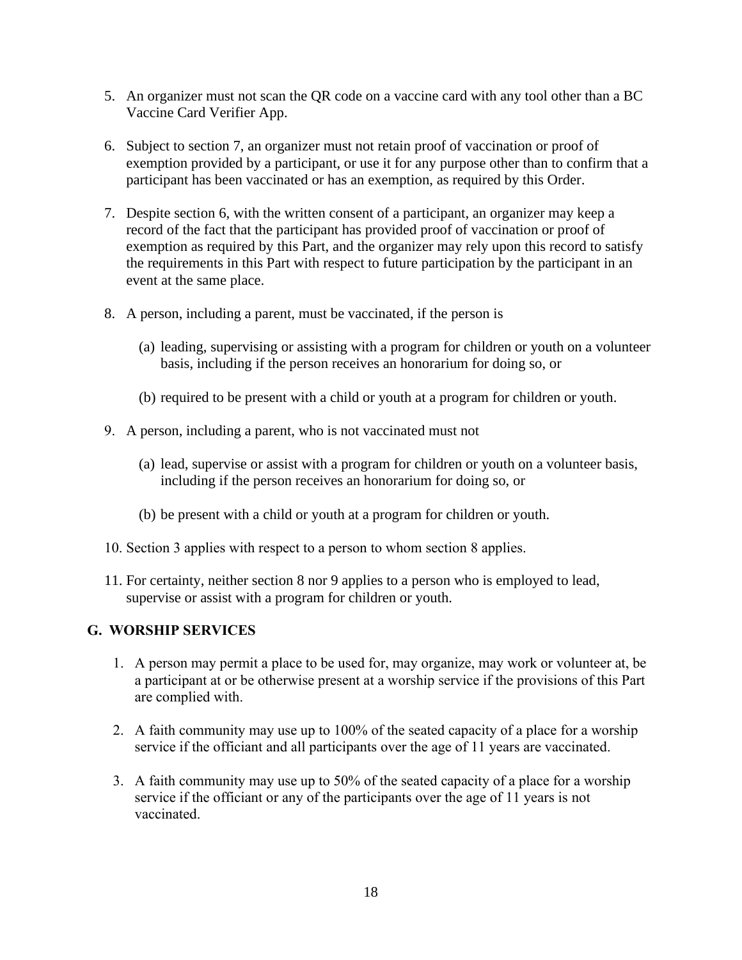- 5. An organizer must not scan the QR code on a vaccine card with any tool other than a BC Vaccine Card Verifier App.
- 6. Subject to section 7, an organizer must not retain proof of vaccination or proof of exemption provided by a participant, or use it for any purpose other than to confirm that a participant has been vaccinated or has an exemption, as required by this Order.
- 7. Despite section 6, with the written consent of a participant, an organizer may keep a record of the fact that the participant has provided proof of vaccination or proof of exemption as required by this Part, and the organizer may rely upon this record to satisfy the requirements in this Part with respect to future participation by the participant in an event at the same place.
- 8. A person, including a parent, must be vaccinated, if the person is
	- (a) leading, supervising or assisting with a program for children or youth on a volunteer basis, including if the person receives an honorarium for doing so, or
	- (b) required to be present with a child or youth at a program for children or youth.
- 9. A person, including a parent, who is not vaccinated must not
	- (a) lead, supervise or assist with a program for children or youth on a volunteer basis, including if the person receives an honorarium for doing so, or
	- (b) be present with a child or youth at a program for children or youth.
- 10. Section 3 applies with respect to a person to whom section 8 applies.
- 11. For certainty, neither section 8 nor 9 applies to a person who is employed to lead, supervise or assist with a program for children or youth.

## **G. WORSHIP SERVICES**

- 1. A person may permit a place to be used for, may organize, may work or volunteer at, be a participant at or be otherwise present at a worship service if the provisions of this Part are complied with.
- 2. A faith community may use up to 100% of the seated capacity of a place for a worship service if the officiant and all participants over the age of 11 years are vaccinated.
- 3. A faith community may use up to 50% of the seated capacity of a place for a worship service if the officiant or any of the participants over the age of 11 years is not vaccinated.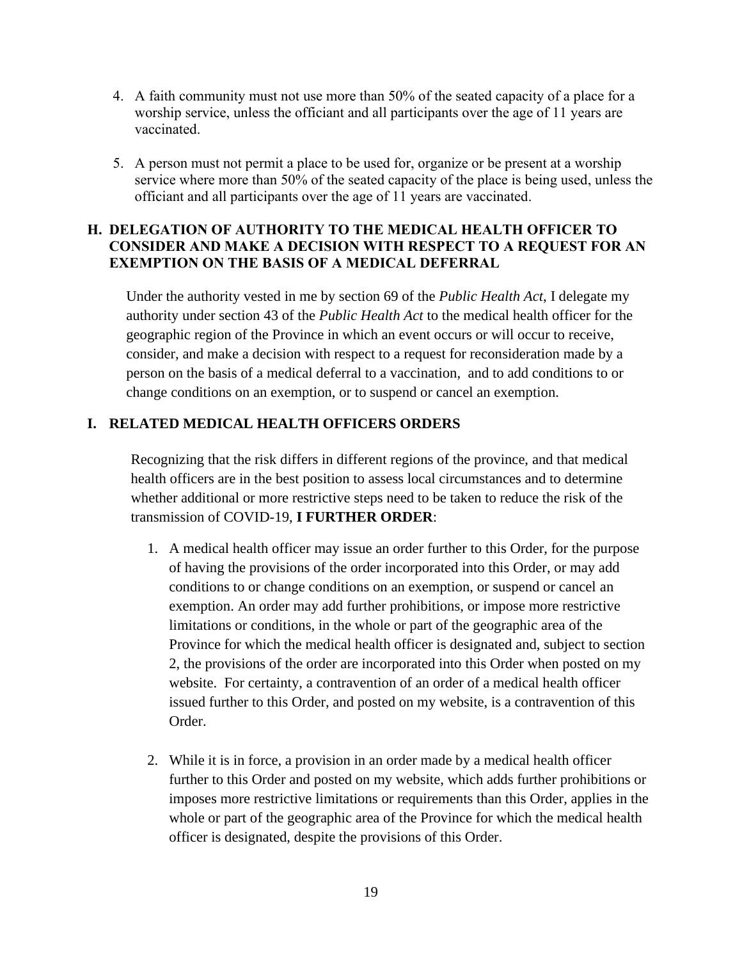- 4. A faith community must not use more than 50% of the seated capacity of a place for a worship service, unless the officiant and all participants over the age of 11 years are vaccinated.
- 5. A person must not permit a place to be used for, organize or be present at a worship service where more than 50% of the seated capacity of the place is being used, unless the officiant and all participants over the age of 11 years are vaccinated.

## **H. DELEGATION OF AUTHORITY TO THE MEDICAL HEALTH OFFICER TO CONSIDER AND MAKE A DECISION WITH RESPECT TO A REQUEST FOR AN EXEMPTION ON THE BASIS OF A MEDICAL DEFERRAL**

Under the authority vested in me by section 69 of the *Public Health Act*, I delegate my authority under section 43 of the *Public Health Act* to the medical health officer for the geographic region of the Province in which an event occurs or will occur to receive, consider, and make a decision with respect to a request for reconsideration made by a person on the basis of a medical deferral to a vaccination, and to add conditions to or change conditions on an exemption, or to suspend or cancel an exemption.

## **I. RELATED MEDICAL HEALTH OFFICERS ORDERS**

Recognizing that the risk differs in different regions of the province, and that medical health officers are in the best position to assess local circumstances and to determine whether additional or more restrictive steps need to be taken to reduce the risk of the transmission of COVID-19, **I FURTHER ORDER**:

- 1. A medical health officer may issue an order further to this Order, for the purpose of having the provisions of the order incorporated into this Order, or may add conditions to or change conditions on an exemption, or suspend or cancel an exemption. An order may add further prohibitions, or impose more restrictive limitations or conditions, in the whole or part of the geographic area of the Province for which the medical health officer is designated and, subject to section 2, the provisions of the order are incorporated into this Order when posted on my website. For certainty, a contravention of an order of a medical health officer issued further to this Order, and posted on my website, is a contravention of this Order.
- 2. While it is in force, a provision in an order made by a medical health officer further to this Order and posted on my website, which adds further prohibitions or imposes more restrictive limitations or requirements than this Order, applies in the whole or part of the geographic area of the Province for which the medical health officer is designated, despite the provisions of this Order.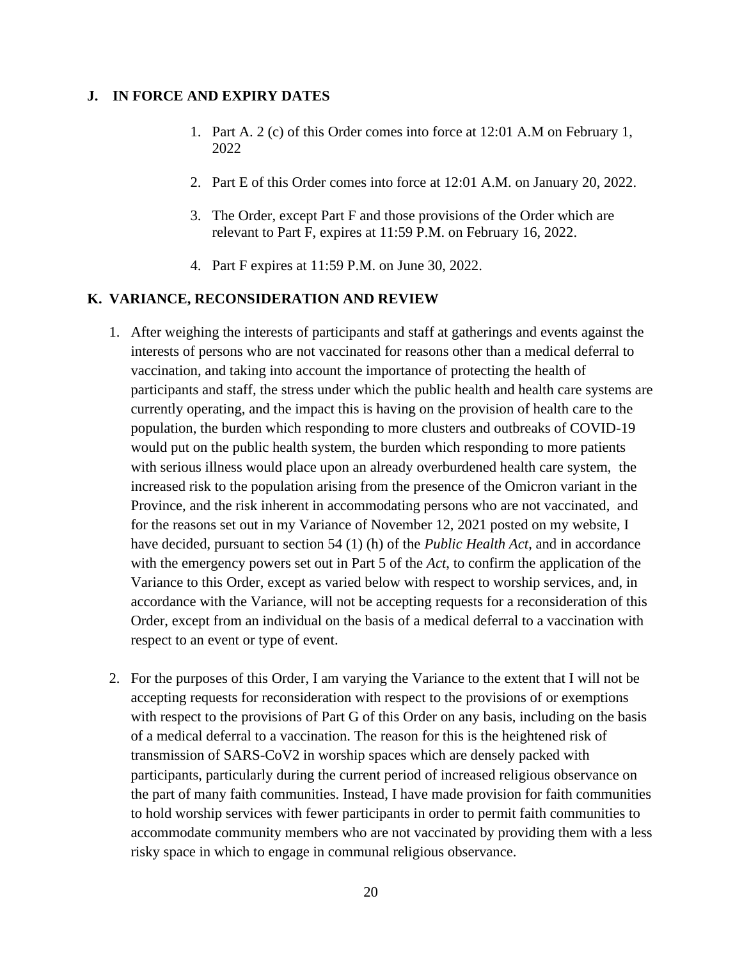#### **J. IN FORCE AND EXPIRY DATES**

- 1. Part A. 2 (c) of this Order comes into force at 12:01 A.M on February 1, 2022
- 2. Part E of this Order comes into force at 12:01 A.M. on January 20, 2022.
- 3. The Order, except Part F and those provisions of the Order which are relevant to Part F, expires at 11:59 P.M. on February 16, 2022.
- 4. Part F expires at 11:59 P.M. on June 30, 2022.

#### **K. VARIANCE, RECONSIDERATION AND REVIEW**

- 1. After weighing the interests of participants and staff at gatherings and events against the interests of persons who are not vaccinated for reasons other than a medical deferral to vaccination, and taking into account the importance of protecting the health of participants and staff, the stress under which the public health and health care systems are currently operating, and the impact this is having on the provision of health care to the population, the burden which responding to more clusters and outbreaks of COVID-19 would put on the public health system, the burden which responding to more patients with serious illness would place upon an already overburdened health care system, the increased risk to the population arising from the presence of the Omicron variant in the Province, and the risk inherent in accommodating persons who are not vaccinated, and for the reasons set out in my Variance of November 12, 2021 posted on my website, I have decided, pursuant to section 54 (1) (h) of the *Public Health Act*, and in accordance with the emergency powers set out in Part 5 of the *Act*, to confirm the application of the Variance to this Order, except as varied below with respect to worship services, and, in accordance with the Variance, will not be accepting requests for a reconsideration of this Order, except from an individual on the basis of a medical deferral to a vaccination with respect to an event or type of event.
- 2. For the purposes of this Order, I am varying the Variance to the extent that I will not be accepting requests for reconsideration with respect to the provisions of or exemptions with respect to the provisions of Part G of this Order on any basis, including on the basis of a medical deferral to a vaccination. The reason for this is the heightened risk of transmission of SARS-CoV2 in worship spaces which are densely packed with participants, particularly during the current period of increased religious observance on the part of many faith communities. Instead, I have made provision for faith communities to hold worship services with fewer participants in order to permit faith communities to accommodate community members who are not vaccinated by providing them with a less risky space in which to engage in communal religious observance.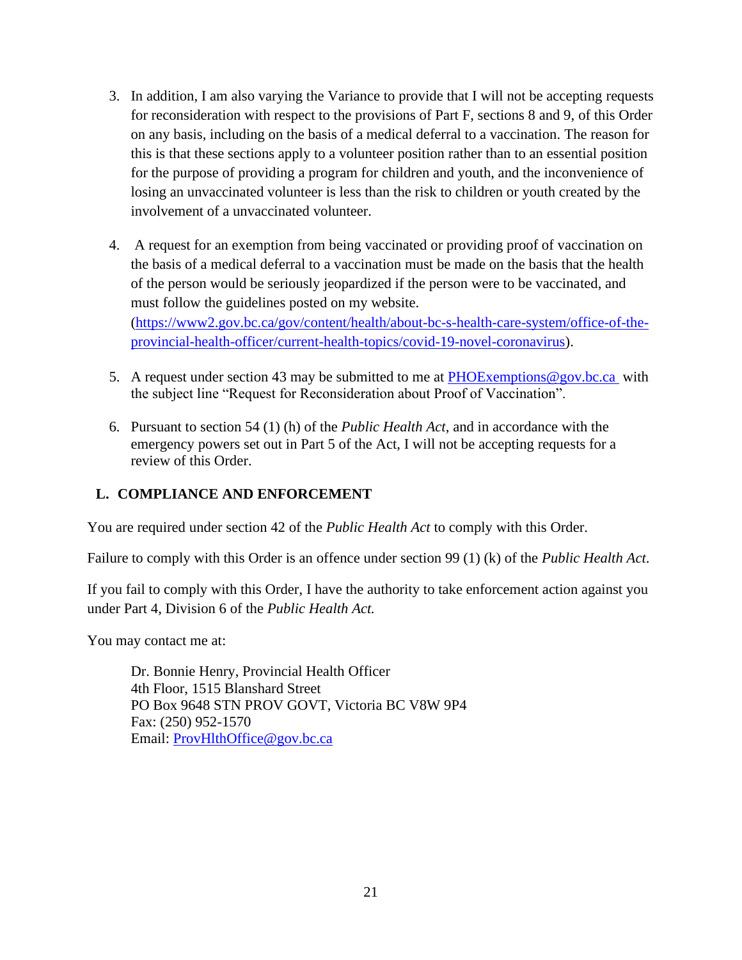- 3. In addition, I am also varying the Variance to provide that I will not be accepting requests for reconsideration with respect to the provisions of Part F, sections 8 and 9, of this Order on any basis, including on the basis of a medical deferral to a vaccination. The reason for this is that these sections apply to a volunteer position rather than to an essential position for the purpose of providing a program for children and youth, and the inconvenience of losing an unvaccinated volunteer is less than the risk to children or youth created by the involvement of a unvaccinated volunteer.
- 4. A request for an exemption from being vaccinated or providing proof of vaccination on the basis of a medical deferral to a vaccination must be made on the basis that the health of the person would be seriously jeopardized if the person were to be vaccinated, and must follow the guidelines posted on my website. [\(https://www2.gov.bc.ca/gov/content/health/about-bc-s-health-care-system/office-of-the](https://www2.gov.bc.ca/gov/content/health/about-bc-s-health-care-system/office-of-the-provincial-health-officer/current-health-topics/covid-19-novel-coronavirus)[provincial-health-officer/current-health-topics/covid-19-novel-coronavirus\)](https://www2.gov.bc.ca/gov/content/health/about-bc-s-health-care-system/office-of-the-provincial-health-officer/current-health-topics/covid-19-novel-coronavirus).
- 5. A request under section 43 may be submitted to me at PHOExemptions @gov.bc.ca with the subject line "Request for Reconsideration about Proof of Vaccination".
- 6. Pursuant to section 54 (1) (h) of the *Public Health Act*, and in accordance with the emergency powers set out in Part 5 of the Act, I will not be accepting requests for a review of this Order.

# **L. COMPLIANCE AND ENFORCEMENT**

You are required under section 42 of the *Public Health Act* to comply with this Order.

Failure to comply with this Order is an offence under section 99 (1) (k) of the *Public Health Act*.

If you fail to comply with this Order, I have the authority to take enforcement action against you under Part 4, Division 6 of the *Public Health Act.*

You may contact me at:

Dr. Bonnie Henry, Provincial Health Officer 4th Floor, 1515 Blanshard Street PO Box 9648 STN PROV GOVT, Victoria BC V8W 9P4 Fax: (250) 952-1570 Email: [ProvHlthOffice@gov.bc.ca](mailto:ProvHlthOffice@gov.bc.ca)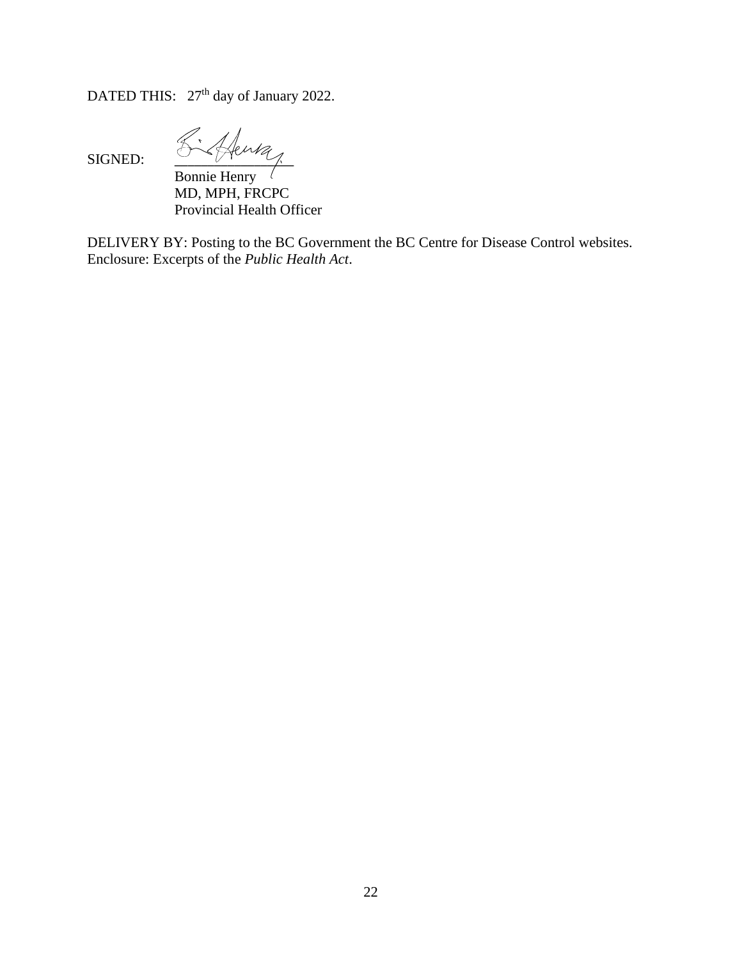DATED THIS:  $27<sup>th</sup>$  day of January 2022.

SIGNED:  $\frac{1}{\sqrt{1-\frac{1}{\sqrt{1-\frac{1}{\sqrt{1-\frac{1}{\sqrt{1-\frac{1}{\sqrt{1-\frac{1}{\sqrt{1-\frac{1}{\sqrt{1-\frac{1}{\sqrt{1-\frac{1}{\sqrt{1-\frac{1}{\sqrt{1-\frac{1}{\sqrt{1-\frac{1}{\sqrt{1-\frac{1}{\sqrt{1-\frac{1}{\sqrt{1-\frac{1}{\sqrt{1-\frac{1}{\sqrt{1-\frac{1}{\sqrt{1-\frac{1}{\sqrt{1-\frac{1}{\sqrt{1-\frac{1}{\sqrt{1-\frac{1}{\sqrt{1-\frac{1}{\sqrt{1-\frac{1}{\sqrt{1-\frac{1}{$ 

Bonnie Henry MD, MPH, FRCPC Provincial Health Officer

DELIVERY BY: Posting to the BC Government the BC Centre for Disease Control websites. Enclosure: Excerpts of the *Public Health Act*.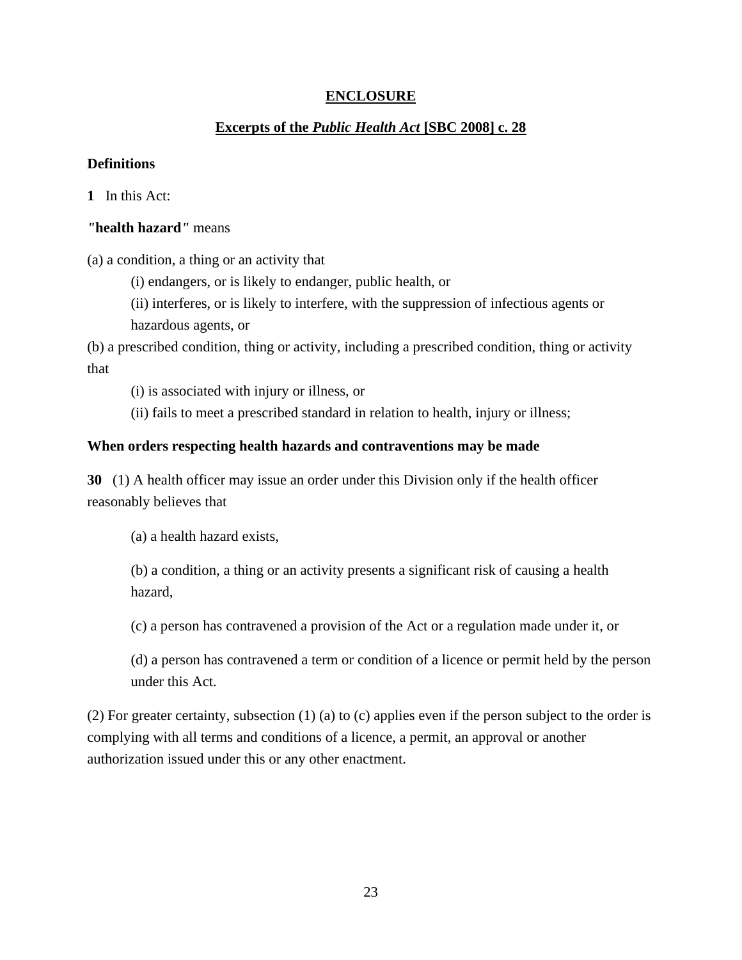# **ENCLOSURE**

# **Excerpts of the** *Public Health Act* **[SBC 2008] c. 28**

#### **Definitions**

**1** In this Act:

## *"***health hazard***"* means

(a) a condition, a thing or an activity that

(i) endangers, or is likely to endanger, public health, or

(ii) interferes, or is likely to interfere, with the suppression of infectious agents or hazardous agents, or

(b) a prescribed condition, thing or activity, including a prescribed condition, thing or activity that

(i) is associated with injury or illness, or

(ii) fails to meet a prescribed standard in relation to health, injury or illness;

### **When orders respecting health hazards and contraventions may be made**

**30** (1) A health officer may issue an order under this Division only if the health officer reasonably believes that

(a) a health hazard exists,

(b) a condition, a thing or an activity presents a significant risk of causing a health hazard,

(c) a person has contravened a provision of the Act or a regulation made under it, or

(d) a person has contravened a term or condition of a licence or permit held by the person under this Act.

(2) For greater certainty, subsection (1) (a) to (c) applies even if the person subject to the order is complying with all terms and conditions of a licence, a permit, an approval or another authorization issued under this or any other enactment.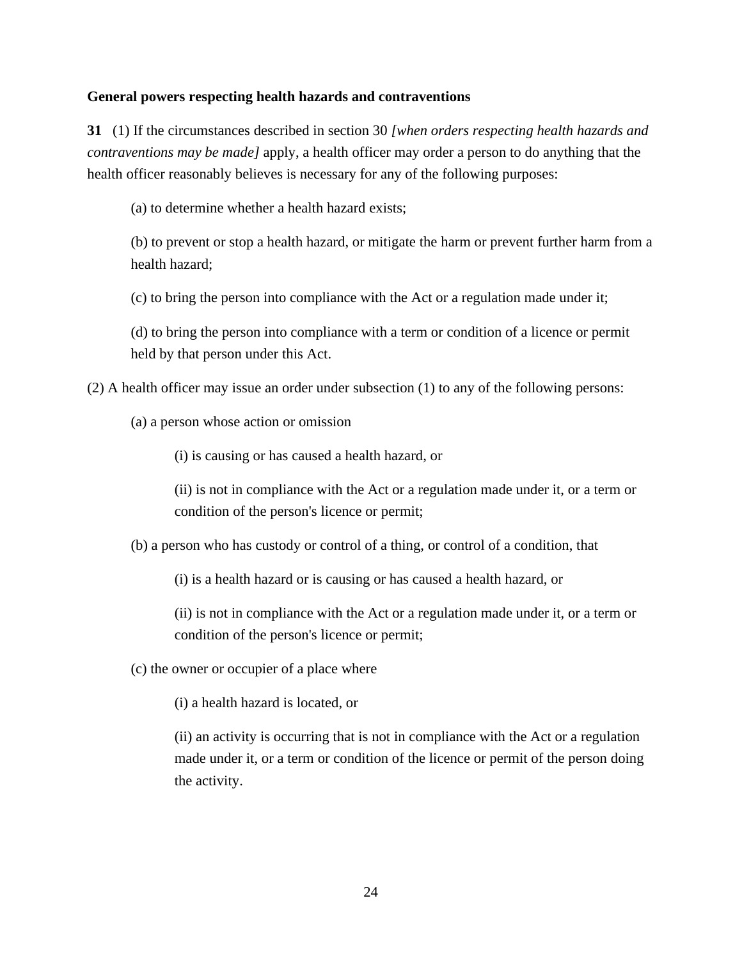#### **General powers respecting health hazards and contraventions**

**31** (1) If the circumstances described in section 30 *[when orders respecting health hazards and contraventions may be made]* apply, a health officer may order a person to do anything that the health officer reasonably believes is necessary for any of the following purposes:

(a) to determine whether a health hazard exists;

(b) to prevent or stop a health hazard, or mitigate the harm or prevent further harm from a health hazard;

(c) to bring the person into compliance with the Act or a regulation made under it;

(d) to bring the person into compliance with a term or condition of a licence or permit held by that person under this Act.

(2) A health officer may issue an order under subsection (1) to any of the following persons:

(a) a person whose action or omission

(i) is causing or has caused a health hazard, or

(ii) is not in compliance with the Act or a regulation made under it, or a term or condition of the person's licence or permit;

(b) a person who has custody or control of a thing, or control of a condition, that

(i) is a health hazard or is causing or has caused a health hazard, or

(ii) is not in compliance with the Act or a regulation made under it, or a term or condition of the person's licence or permit;

(c) the owner or occupier of a place where

(i) a health hazard is located, or

(ii) an activity is occurring that is not in compliance with the Act or a regulation made under it, or a term or condition of the licence or permit of the person doing the activity.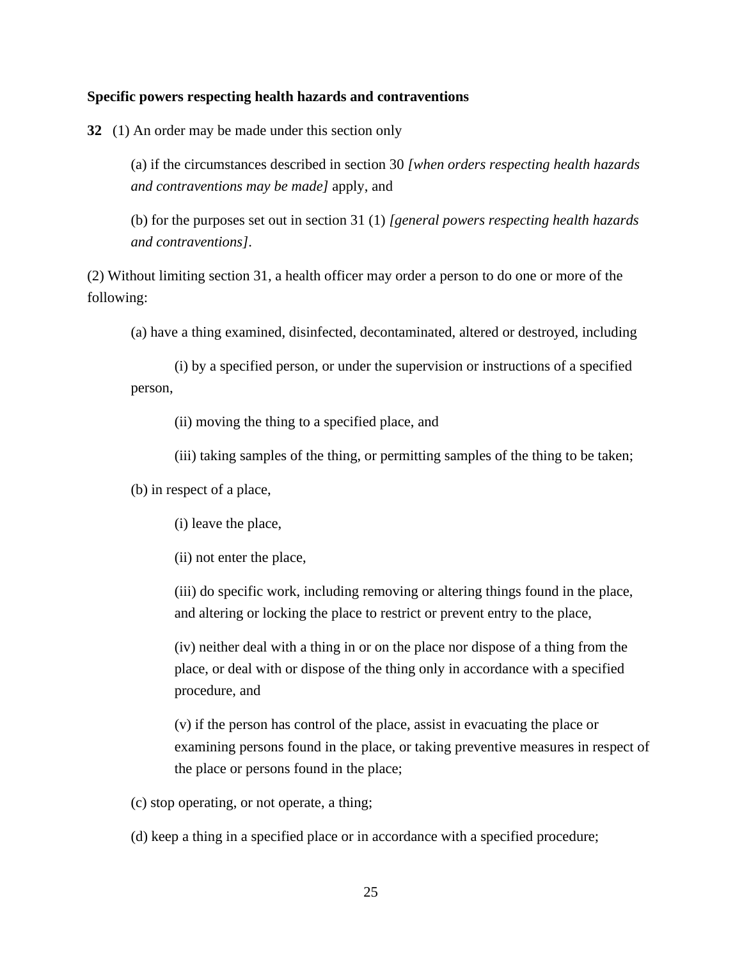#### **Specific powers respecting health hazards and contraventions**

**32** (1) An order may be made under this section only

(a) if the circumstances described in section 30 *[when orders respecting health hazards and contraventions may be made]* apply, and

(b) for the purposes set out in section 31 (1) *[general powers respecting health hazards and contraventions]*.

(2) Without limiting section 31, a health officer may order a person to do one or more of the following:

(a) have a thing examined, disinfected, decontaminated, altered or destroyed, including

(i) by a specified person, or under the supervision or instructions of a specified person,

(ii) moving the thing to a specified place, and

(iii) taking samples of the thing, or permitting samples of the thing to be taken;

(b) in respect of a place,

(i) leave the place,

(ii) not enter the place,

(iii) do specific work, including removing or altering things found in the place, and altering or locking the place to restrict or prevent entry to the place,

(iv) neither deal with a thing in or on the place nor dispose of a thing from the place, or deal with or dispose of the thing only in accordance with a specified procedure, and

(v) if the person has control of the place, assist in evacuating the place or examining persons found in the place, or taking preventive measures in respect of the place or persons found in the place;

(c) stop operating, or not operate, a thing;

(d) keep a thing in a specified place or in accordance with a specified procedure;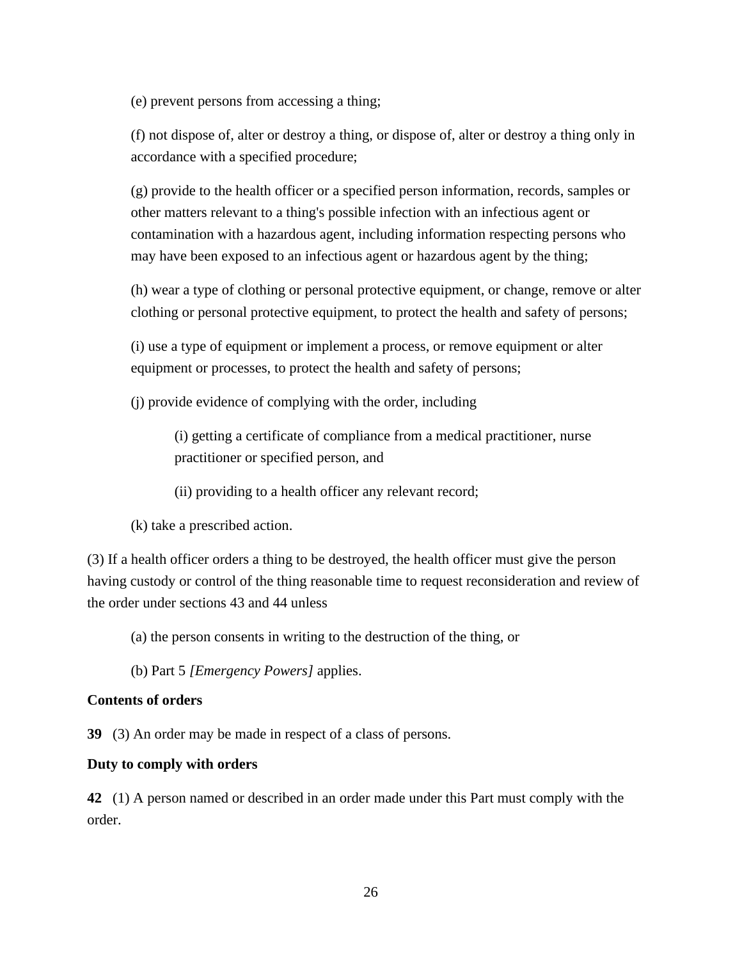(e) prevent persons from accessing a thing;

(f) not dispose of, alter or destroy a thing, or dispose of, alter or destroy a thing only in accordance with a specified procedure;

(g) provide to the health officer or a specified person information, records, samples or other matters relevant to a thing's possible infection with an infectious agent or contamination with a hazardous agent, including information respecting persons who may have been exposed to an infectious agent or hazardous agent by the thing;

(h) wear a type of clothing or personal protective equipment, or change, remove or alter clothing or personal protective equipment, to protect the health and safety of persons;

(i) use a type of equipment or implement a process, or remove equipment or alter equipment or processes, to protect the health and safety of persons;

(j) provide evidence of complying with the order, including

(i) getting a certificate of compliance from a medical practitioner, nurse practitioner or specified person, and

(ii) providing to a health officer any relevant record;

(k) take a prescribed action.

(3) If a health officer orders a thing to be destroyed, the health officer must give the person having custody or control of the thing reasonable time to request reconsideration and review of the order under sections 43 and 44 unless

(a) the person consents in writing to the destruction of the thing, or

(b) Part 5 *[Emergency Powers]* applies.

#### **Contents of orders**

**39** (3) An order may be made in respect of a class of persons.

#### **Duty to comply with orders**

**42** (1) A person named or described in an order made under this Part must comply with the order.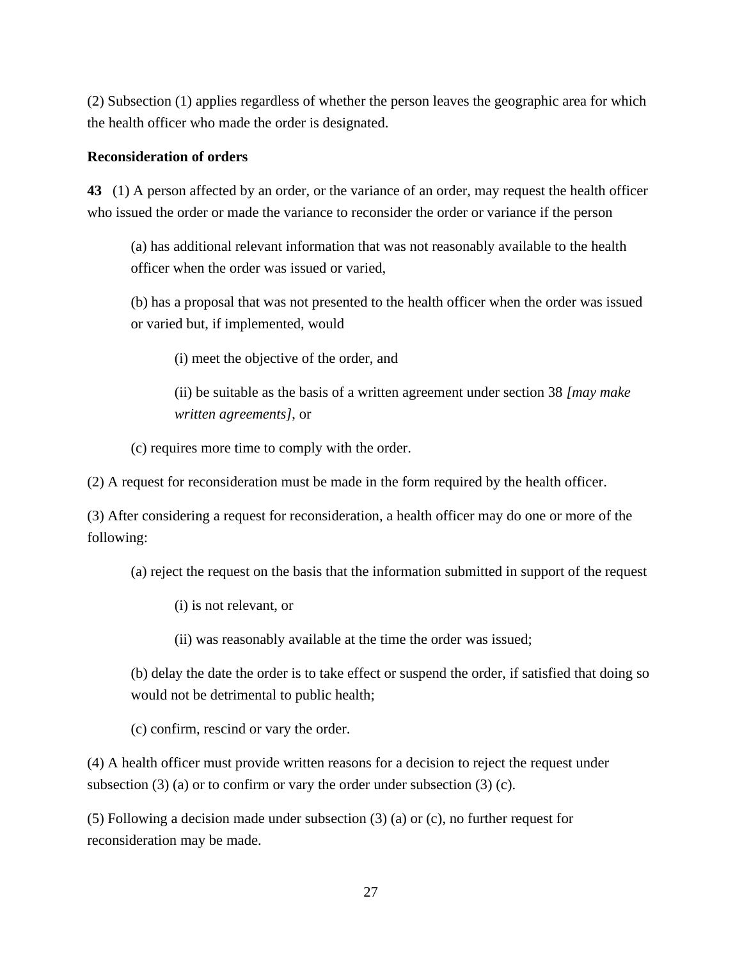(2) Subsection (1) applies regardless of whether the person leaves the geographic area for which the health officer who made the order is designated.

#### **Reconsideration of orders**

**43** (1) A person affected by an order, or the variance of an order, may request the health officer who issued the order or made the variance to reconsider the order or variance if the person

(a) has additional relevant information that was not reasonably available to the health officer when the order was issued or varied,

(b) has a proposal that was not presented to the health officer when the order was issued or varied but, if implemented, would

(i) meet the objective of the order, and

(ii) be suitable as the basis of a written agreement under section 38 *[may make written agreements]*, or

(c) requires more time to comply with the order.

(2) A request for reconsideration must be made in the form required by the health officer.

(3) After considering a request for reconsideration, a health officer may do one or more of the following:

(a) reject the request on the basis that the information submitted in support of the request

(i) is not relevant, or

(ii) was reasonably available at the time the order was issued;

(b) delay the date the order is to take effect or suspend the order, if satisfied that doing so would not be detrimental to public health;

(c) confirm, rescind or vary the order.

(4) A health officer must provide written reasons for a decision to reject the request under subsection  $(3)$  (a) or to confirm or vary the order under subsection  $(3)$  (c).

(5) Following a decision made under subsection (3) (a) or (c), no further request for reconsideration may be made.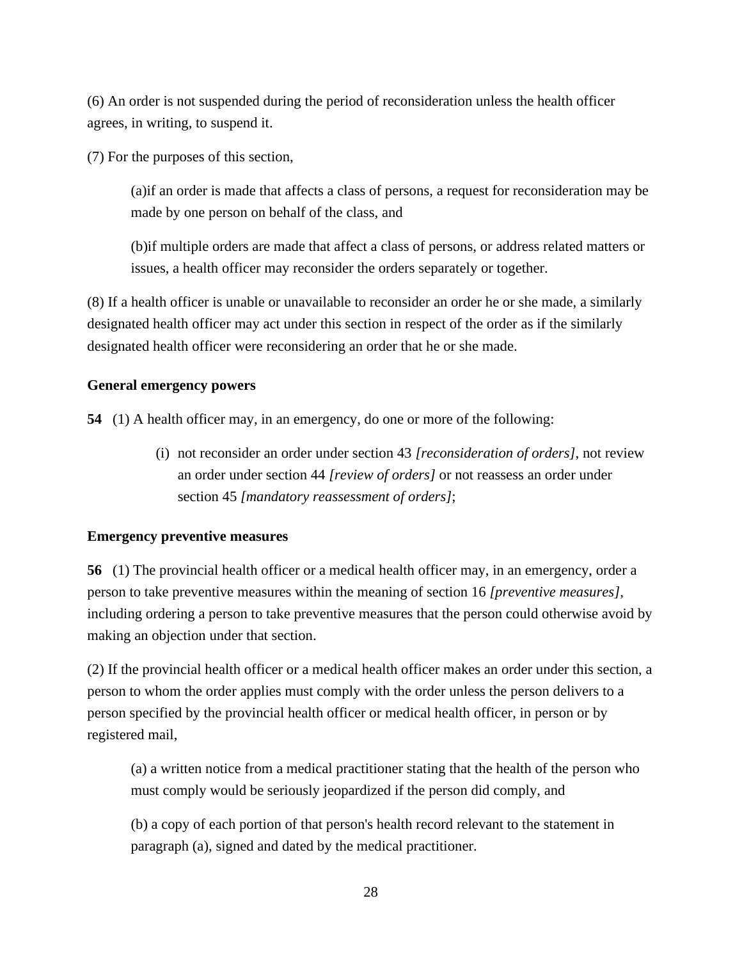(6) An order is not suspended during the period of reconsideration unless the health officer agrees, in writing, to suspend it.

(7) For the purposes of this section,

(a)if an order is made that affects a class of persons, a request for reconsideration may be made by one person on behalf of the class, and

(b)if multiple orders are made that affect a class of persons, or address related matters or issues, a health officer may reconsider the orders separately or together.

(8) If a health officer is unable or unavailable to reconsider an order he or she made, a similarly designated health officer may act under this section in respect of the order as if the similarly designated health officer were reconsidering an order that he or she made.

## **General emergency powers**

**54** (1) A health officer may, in an emergency, do one or more of the following:

(i) not reconsider an order under section 43 *[reconsideration of orders]*, not review an order under section 44 *[review of orders]* or not reassess an order under section 45 *[mandatory reassessment of orders]*;

## **Emergency preventive measures**

**56** (1) The provincial health officer or a medical health officer may, in an emergency, order a person to take preventive measures within the meaning of section 16 *[preventive measures]*, including ordering a person to take preventive measures that the person could otherwise avoid by making an objection under that section.

(2) If the provincial health officer or a medical health officer makes an order under this section, a person to whom the order applies must comply with the order unless the person delivers to a person specified by the provincial health officer or medical health officer, in person or by registered mail,

(a) a written notice from a medical practitioner stating that the health of the person who must comply would be seriously jeopardized if the person did comply, and

(b) a copy of each portion of that person's health record relevant to the statement in paragraph (a), signed and dated by the medical practitioner.